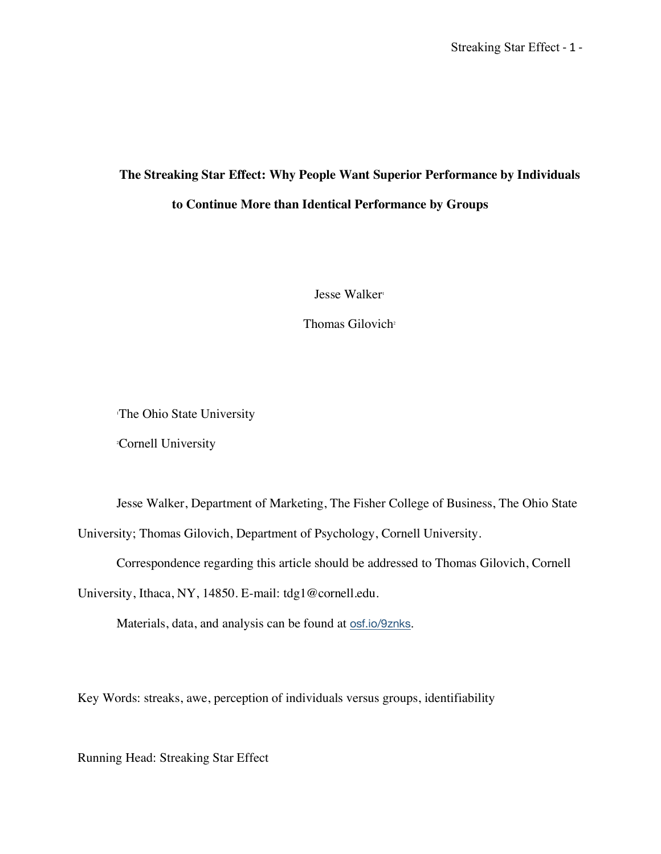# **The Streaking Star Effect: Why People Want Superior Performance by Individuals to Continue More than Identical Performance by Groups**

Jesse Walker<sup>1</sup>

Thomas Gilovich<sup>2</sup>

The Ohio State University

2 Cornell University

Jesse Walker, Department of Marketing, The Fisher College of Business, The Ohio State University; Thomas Gilovich, Department of Psychology, Cornell University.

Correspondence regarding this article should be addressed to Thomas Gilovich, Cornell

University, Ithaca, NY, 14850. E-mail: tdg1@cornell.edu.

Materials, data, and analysis can be found at osf.io/9znks.

Key Words: streaks, awe, perception of individuals versus groups, identifiability

Running Head: Streaking Star Effect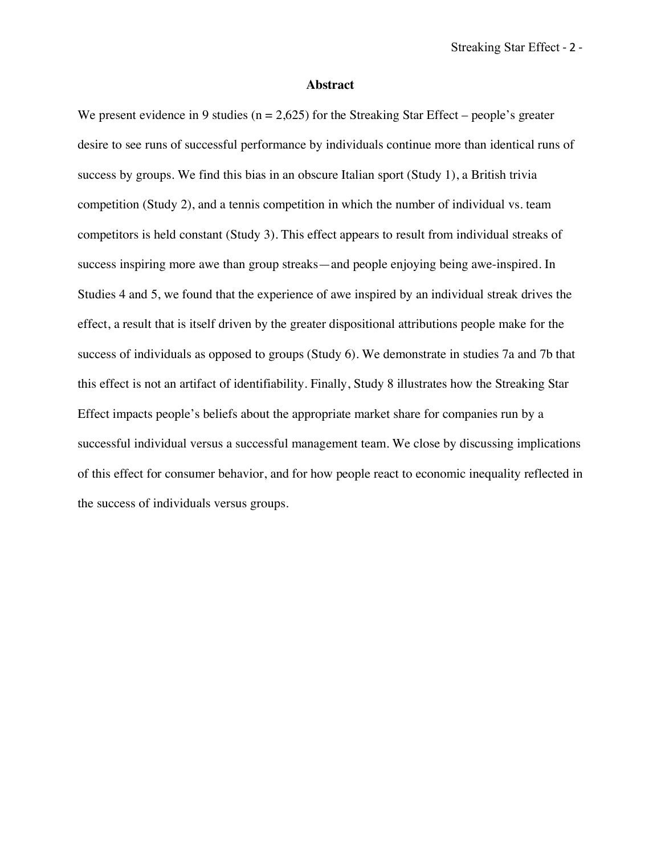#### **Abstract**

We present evidence in 9 studies ( $n = 2.625$ ) for the Streaking Star Effect – people's greater desire to see runs of successful performance by individuals continue more than identical runs of success by groups. We find this bias in an obscure Italian sport (Study 1), a British trivia competition (Study 2), and a tennis competition in which the number of individual vs. team competitors is held constant (Study 3). This effect appears to result from individual streaks of success inspiring more awe than group streaks—and people enjoying being awe-inspired. In Studies 4 and 5, we found that the experience of awe inspired by an individual streak drives the effect, a result that is itself driven by the greater dispositional attributions people make for the success of individuals as opposed to groups (Study 6). We demonstrate in studies 7a and 7b that this effect is not an artifact of identifiability. Finally, Study 8 illustrates how the Streaking Star Effect impacts people's beliefs about the appropriate market share for companies run by a successful individual versus a successful management team. We close by discussing implications of this effect for consumer behavior, and for how people react to economic inequality reflected in the success of individuals versus groups.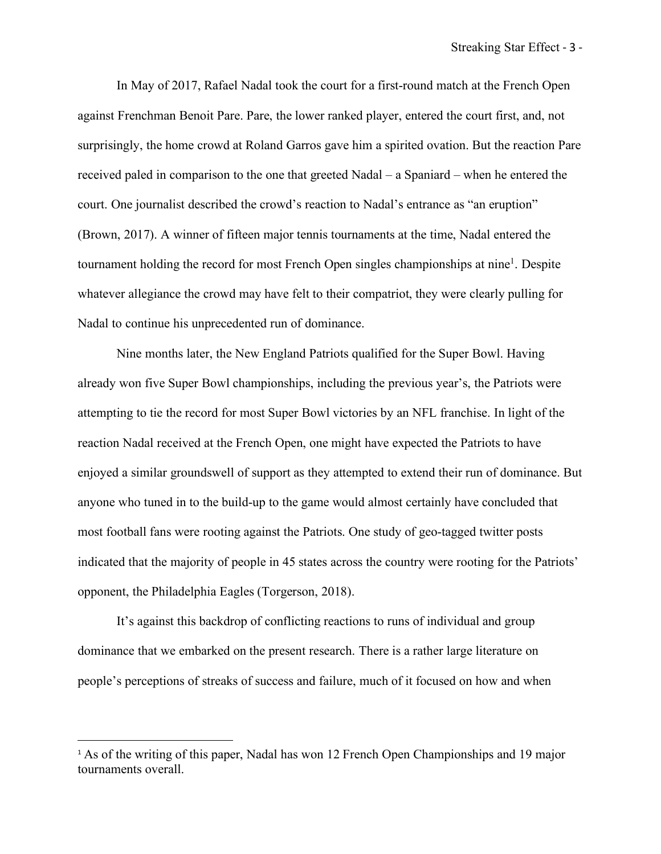In May of 2017, Rafael Nadal took the court for a first-round match at the French Open against Frenchman Benoit Pare. Pare, the lower ranked player, entered the court first, and, not surprisingly, the home crowd at Roland Garros gave him a spirited ovation. But the reaction Pare received paled in comparison to the one that greeted Nadal – a Spaniard – when he entered the court. One journalist described the crowd's reaction to Nadal's entrance as "an eruption" (Brown, 2017). A winner of fifteen major tennis tournaments at the time, Nadal entered the tournament holding the record for most French Open singles championships at nine<sup>1</sup>. Despite whatever allegiance the crowd may have felt to their compatriot, they were clearly pulling for Nadal to continue his unprecedented run of dominance.

Nine months later, the New England Patriots qualified for the Super Bowl. Having already won five Super Bowl championships, including the previous year's, the Patriots were attempting to tie the record for most Super Bowl victories by an NFL franchise. In light of the reaction Nadal received at the French Open, one might have expected the Patriots to have enjoyed a similar groundswell of support as they attempted to extend their run of dominance. But anyone who tuned in to the build-up to the game would almost certainly have concluded that most football fans were rooting against the Patriots. One study of geo-tagged twitter posts indicated that the majority of people in 45 states across the country were rooting for the Patriots' opponent, the Philadelphia Eagles (Torgerson, 2018).

It's against this backdrop of conflicting reactions to runs of individual and group dominance that we embarked on the present research. There is a rather large literature on people's perceptions of streaks of success and failure, much of it focused on how and when

 $\overline{a}$ 

<sup>&</sup>lt;sup>1</sup> As of the writing of this paper, Nadal has won 12 French Open Championships and 19 major tournaments overall.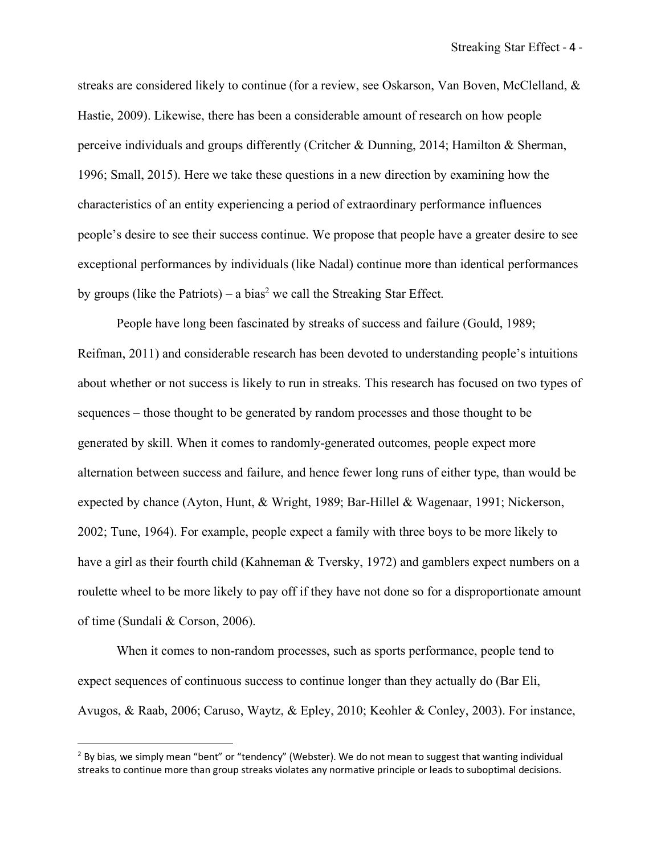streaks are considered likely to continue (for a review, see Oskarson, Van Boven, McClelland, & Hastie, 2009). Likewise, there has been a considerable amount of research on how people perceive individuals and groups differently (Critcher & Dunning, 2014; Hamilton & Sherman, 1996; Small, 2015). Here we take these questions in a new direction by examining how the characteristics of an entity experiencing a period of extraordinary performance influences people's desire to see their success continue. We propose that people have a greater desire to see exceptional performances by individuals (like Nadal) continue more than identical performances by groups (like the Patriots) – a bias<sup>2</sup> we call the Streaking Star Effect.

People have long been fascinated by streaks of success and failure (Gould, 1989; Reifman, 2011) and considerable research has been devoted to understanding people's intuitions about whether or not success is likely to run in streaks. This research has focused on two types of sequences – those thought to be generated by random processes and those thought to be generated by skill. When it comes to randomly-generated outcomes, people expect more alternation between success and failure, and hence fewer long runs of either type, than would be expected by chance (Ayton, Hunt, & Wright, 1989; Bar-Hillel & Wagenaar, 1991; Nickerson, 2002; Tune, 1964). For example, people expect a family with three boys to be more likely to have a girl as their fourth child (Kahneman & Tversky, 1972) and gamblers expect numbers on a roulette wheel to be more likely to pay off if they have not done so for a disproportionate amount of time (Sundali & Corson, 2006).

When it comes to non-random processes, such as sports performance, people tend to expect sequences of continuous success to continue longer than they actually do (Bar Eli, Avugos, & Raab, 2006; Caruso, Waytz, & Epley, 2010; Keohler & Conley, 2003). For instance,

 $\overline{a}$ 

 $2$  By bias, we simply mean "bent" or "tendency" (Webster). We do not mean to suggest that wanting individual streaks to continue more than group streaks violates any normative principle or leads to suboptimal decisions.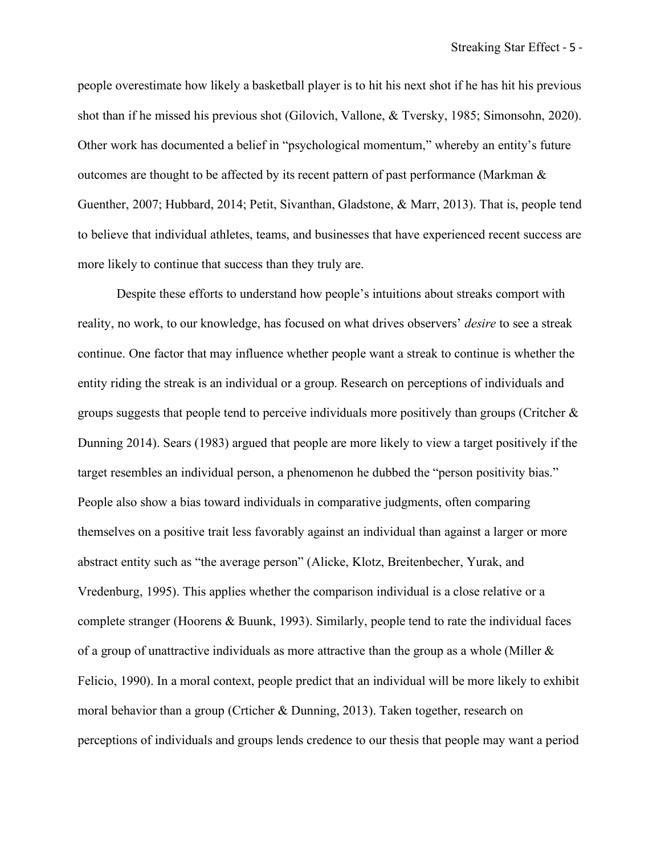people overestimate how likely a basketball player is to hit his next shot if he has hit his previous shot than if he missed his previous shot (Gilovich, Vallone, & Tversky, 1985; Simonsohn, 2020). Other work has documented a belief in "psychological momentum," whereby an entity's future outcomes are thought to be affected by its recent pattern of past performance (Markman & Guenther, 2007; Hubbard, 2014; Petit, Sivanthan, Gladstone, & Marr, 2013). That is, people tend to believe that individual athletes, teams, and businesses that have experienced recent success are more likely to continue that success than they truly are.

Despite these efforts to understand how people's intuitions about streaks comport with reality, no work, to our knowledge, has focused on what drives observers' *desire* to see a streak continue. One factor that may influence whether people want a streak to continue is whether the entity riding the streak is an individual or a group. Research on perceptions of individuals and groups suggests that people tend to perceive individuals more positively than groups (Critcher  $\&$ Dunning 2014). Sears (1983) argued that people are more likely to view a target positively if the target resembles an individual person, a phenomenon he dubbed the "person positivity bias." People also show a bias toward individuals in comparative judgments, often comparing themselves on a positive trait less favorably against an individual than against a larger or more abstract entity such as "the average person" (Alicke, Klotz, Breitenbecher, Yurak, and Vredenburg, 1995). This applies whether the comparison individual is a close relative or a complete stranger (Hoorens & Buunk, 1993). Similarly, people tend to rate the individual faces of a group of unattractive individuals as more attractive than the group as a whole (Miller & Felicio, 1990). In a moral context, people predict that an individual will be more likely to exhibit moral behavior than a group (Crticher & Dunning, 2013). Taken together, research on perceptions of individuals and groups lends credence to our thesis that people may want a period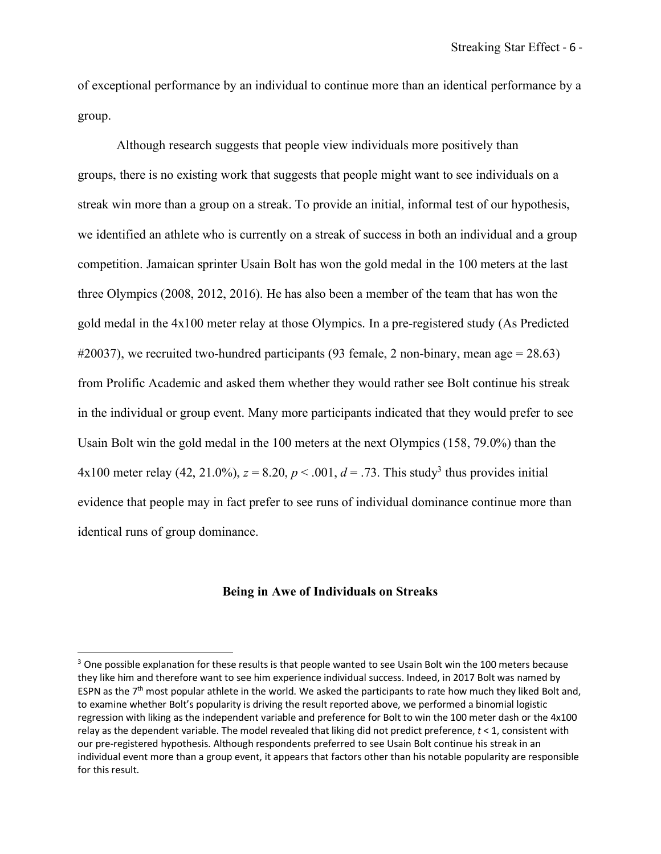of exceptional performance by an individual to continue more than an identical performance by a group.

 Although research suggests that people view individuals more positively than groups, there is no existing work that suggests that people might want to see individuals on a streak win more than a group on a streak. To provide an initial, informal test of our hypothesis, we identified an athlete who is currently on a streak of success in both an individual and a group competition. Jamaican sprinter Usain Bolt has won the gold medal in the 100 meters at the last three Olympics (2008, 2012, 2016). He has also been a member of the team that has won the gold medal in the 4x100 meter relay at those Olympics. In a pre-registered study (As Predicted  $\#20037$ , we recruited two-hundred participants (93 female, 2 non-binary, mean age = 28.63) from Prolific Academic and asked them whether they would rather see Bolt continue his streak in the individual or group event. Many more participants indicated that they would prefer to see Usain Bolt win the gold medal in the 100 meters at the next Olympics (158, 79.0%) than the 4x100 meter relay (42, 21.0%),  $z = 8.20$ ,  $p < .001$ ,  $d = .73$ . This study<sup>3</sup> thus provides initial evidence that people may in fact prefer to see runs of individual dominance continue more than identical runs of group dominance.

## **Being in Awe of Individuals on Streaks**

 $\overline{a}$ 

<sup>&</sup>lt;sup>3</sup> One possible explanation for these results is that people wanted to see Usain Bolt win the 100 meters because they like him and therefore want to see him experience individual success. Indeed, in 2017 Bolt was named by ESPN as the  $7<sup>th</sup>$  most popular athlete in the world. We asked the participants to rate how much they liked Bolt and, to examine whether Bolt's popularity is driving the result reported above, we performed a binomial logistic regression with liking as the independent variable and preference for Bolt to win the 100 meter dash or the 4x100 relay as the dependent variable. The model revealed that liking did not predict preference, *t* < 1, consistent with our pre-registered hypothesis. Although respondents preferred to see Usain Bolt continue his streak in an individual event more than a group event, it appears that factors other than his notable popularity are responsible for this result.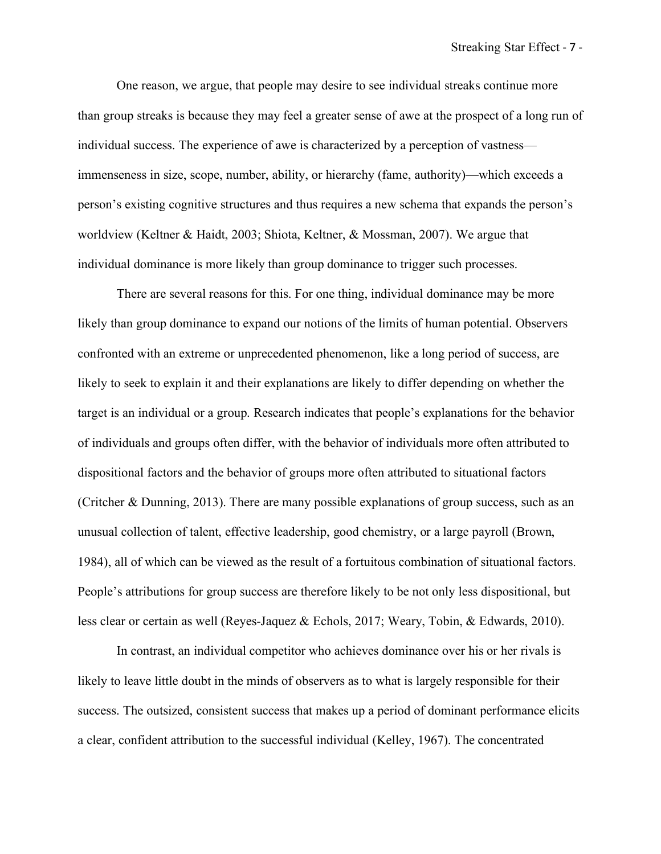One reason, we argue, that people may desire to see individual streaks continue more than group streaks is because they may feel a greater sense of awe at the prospect of a long run of individual success. The experience of awe is characterized by a perception of vastness immenseness in size, scope, number, ability, or hierarchy (fame, authority)—which exceeds a person's existing cognitive structures and thus requires a new schema that expands the person's worldview (Keltner & Haidt, 2003; Shiota, Keltner, & Mossman, 2007). We argue that individual dominance is more likely than group dominance to trigger such processes.

There are several reasons for this. For one thing, individual dominance may be more likely than group dominance to expand our notions of the limits of human potential. Observers confronted with an extreme or unprecedented phenomenon, like a long period of success, are likely to seek to explain it and their explanations are likely to differ depending on whether the target is an individual or a group. Research indicates that people's explanations for the behavior of individuals and groups often differ, with the behavior of individuals more often attributed to dispositional factors and the behavior of groups more often attributed to situational factors (Critcher & Dunning, 2013). There are many possible explanations of group success, such as an unusual collection of talent, effective leadership, good chemistry, or a large payroll (Brown, 1984), all of which can be viewed as the result of a fortuitous combination of situational factors. People's attributions for group success are therefore likely to be not only less dispositional, but less clear or certain as well (Reyes-Jaquez & Echols, 2017; Weary, Tobin, & Edwards, 2010).

In contrast, an individual competitor who achieves dominance over his or her rivals is likely to leave little doubt in the minds of observers as to what is largely responsible for their success. The outsized, consistent success that makes up a period of dominant performance elicits a clear, confident attribution to the successful individual (Kelley, 1967). The concentrated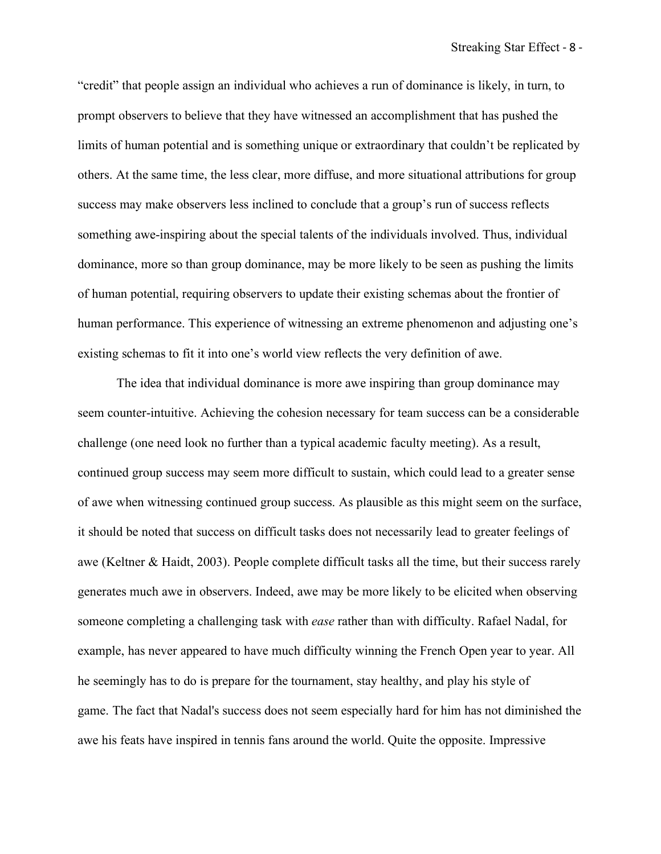"credit" that people assign an individual who achieves a run of dominance is likely, in turn, to prompt observers to believe that they have witnessed an accomplishment that has pushed the limits of human potential and is something unique or extraordinary that couldn't be replicated by others. At the same time, the less clear, more diffuse, and more situational attributions for group success may make observers less inclined to conclude that a group's run of success reflects something awe-inspiring about the special talents of the individuals involved. Thus, individual dominance, more so than group dominance, may be more likely to be seen as pushing the limits of human potential, requiring observers to update their existing schemas about the frontier of human performance. This experience of witnessing an extreme phenomenon and adjusting one's existing schemas to fit it into one's world view reflects the very definition of awe.

The idea that individual dominance is more awe inspiring than group dominance may seem counter-intuitive. Achieving the cohesion necessary for team success can be a considerable challenge (one need look no further than a typical academic faculty meeting). As a result, continued group success may seem more difficult to sustain, which could lead to a greater sense of awe when witnessing continued group success. As plausible as this might seem on the surface, it should be noted that success on difficult tasks does not necessarily lead to greater feelings of awe (Keltner & Haidt, 2003). People complete difficult tasks all the time, but their success rarely generates much awe in observers. Indeed, awe may be more likely to be elicited when observing someone completing a challenging task with *ease* rather than with difficulty. Rafael Nadal, for example, has never appeared to have much difficulty winning the French Open year to year. All he seemingly has to do is prepare for the tournament, stay healthy, and play his style of game. The fact that Nadal's success does not seem especially hard for him has not diminished the awe his feats have inspired in tennis fans around the world. Quite the opposite. Impressive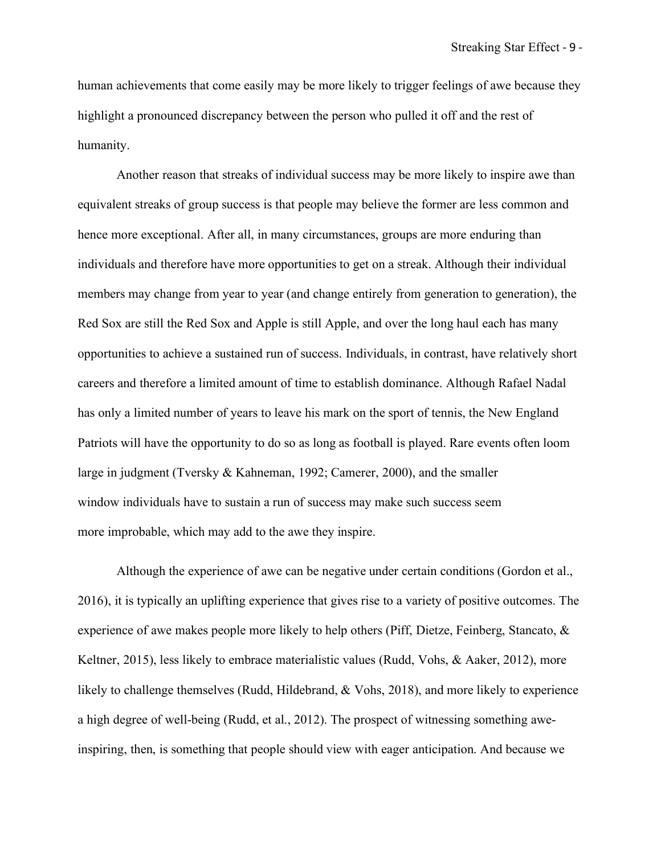human achievements that come easily may be more likely to trigger feelings of awe because they highlight a pronounced discrepancy between the person who pulled it off and the rest of humanity.

Another reason that streaks of individual success may be more likely to inspire awe than equivalent streaks of group success is that people may believe the former are less common and hence more exceptional. After all, in many circumstances, groups are more enduring than individuals and therefore have more opportunities to get on a streak. Although their individual members may change from year to year (and change entirely from generation to generation), the Red Sox are still the Red Sox and Apple is still Apple, and over the long haul each has many opportunities to achieve a sustained run of success. Individuals, in contrast, have relatively short careers and therefore a limited amount of time to establish dominance. Although Rafael Nadal has only a limited number of years to leave his mark on the sport of tennis, the New England Patriots will have the opportunity to do so as long as football is played. Rare events often loom large in judgment (Tversky & Kahneman, 1992; Camerer, 2000), and the smaller window individuals have to sustain a run of success may make such success seem more improbable, which may add to the awe they inspire.

Although the experience of awe can be negative under certain conditions (Gordon et al., 2016), it is typically an uplifting experience that gives rise to a variety of positive outcomes. The experience of awe makes people more likely to help others (Piff, Dietze, Feinberg, Stancato, & Keltner, 2015), less likely to embrace materialistic values (Rudd, Vohs, & Aaker, 2012), more likely to challenge themselves (Rudd, Hildebrand, & Vohs, 2018), and more likely to experience a high degree of well-being (Rudd, et al., 2012). The prospect of witnessing something aweinspiring, then, is something that people should view with eager anticipation. And because we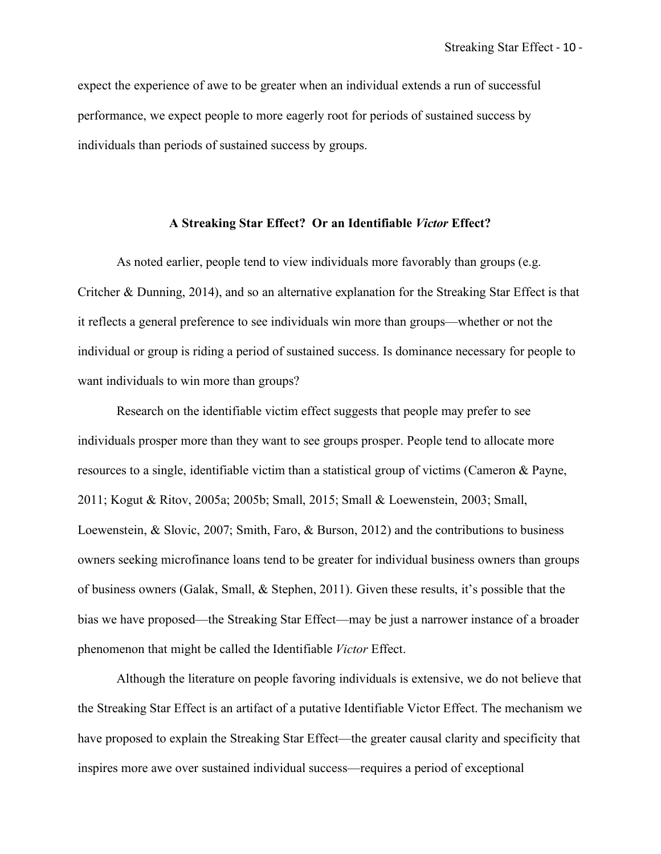expect the experience of awe to be greater when an individual extends a run of successful performance, we expect people to more eagerly root for periods of sustained success by individuals than periods of sustained success by groups.

#### **A Streaking Star Effect? Or an Identifiable** *Victor* **Effect?**

As noted earlier, people tend to view individuals more favorably than groups (e.g. Critcher & Dunning, 2014), and so an alternative explanation for the Streaking Star Effect is that it reflects a general preference to see individuals win more than groups—whether or not the individual or group is riding a period of sustained success. Is dominance necessary for people to want individuals to win more than groups?

Research on the identifiable victim effect suggests that people may prefer to see individuals prosper more than they want to see groups prosper. People tend to allocate more resources to a single, identifiable victim than a statistical group of victims (Cameron & Payne, 2011; Kogut & Ritov, 2005a; 2005b; Small, 2015; Small & Loewenstein, 2003; Small, Loewenstein, & Slovic, 2007; Smith, Faro, & Burson, 2012) and the contributions to business owners seeking microfinance loans tend to be greater for individual business owners than groups of business owners (Galak, Small, & Stephen, 2011). Given these results, it's possible that the bias we have proposed—the Streaking Star Effect—may be just a narrower instance of a broader phenomenon that might be called the Identifiable *Victor* Effect.

Although the literature on people favoring individuals is extensive, we do not believe that the Streaking Star Effect is an artifact of a putative Identifiable Victor Effect. The mechanism we have proposed to explain the Streaking Star Effect—the greater causal clarity and specificity that inspires more awe over sustained individual success—requires a period of exceptional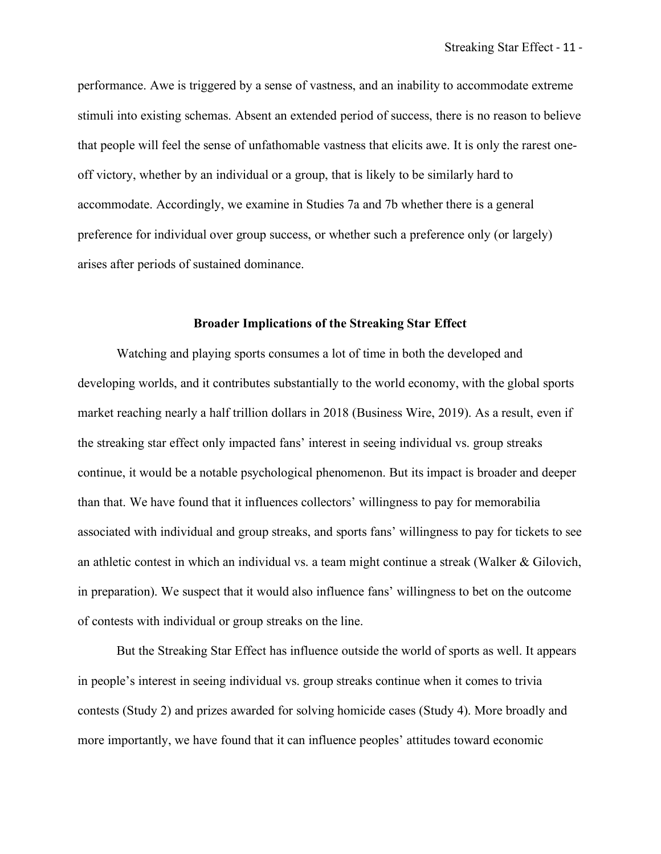performance. Awe is triggered by a sense of vastness, and an inability to accommodate extreme stimuli into existing schemas. Absent an extended period of success, there is no reason to believe that people will feel the sense of unfathomable vastness that elicits awe. It is only the rarest oneoff victory, whether by an individual or a group, that is likely to be similarly hard to accommodate. Accordingly, we examine in Studies 7a and 7b whether there is a general preference for individual over group success, or whether such a preference only (or largely) arises after periods of sustained dominance.

### **Broader Implications of the Streaking Star Effect**

Watching and playing sports consumes a lot of time in both the developed and developing worlds, and it contributes substantially to the world economy, with the global sports market reaching nearly a half trillion dollars in 2018 (Business Wire, 2019). As a result, even if the streaking star effect only impacted fans' interest in seeing individual vs. group streaks continue, it would be a notable psychological phenomenon. But its impact is broader and deeper than that. We have found that it influences collectors' willingness to pay for memorabilia associated with individual and group streaks, and sports fans' willingness to pay for tickets to see an athletic contest in which an individual vs. a team might continue a streak (Walker & Gilovich, in preparation). We suspect that it would also influence fans' willingness to bet on the outcome of contests with individual or group streaks on the line.

But the Streaking Star Effect has influence outside the world of sports as well. It appears in people's interest in seeing individual vs. group streaks continue when it comes to trivia contests (Study 2) and prizes awarded for solving homicide cases (Study 4). More broadly and more importantly, we have found that it can influence peoples' attitudes toward economic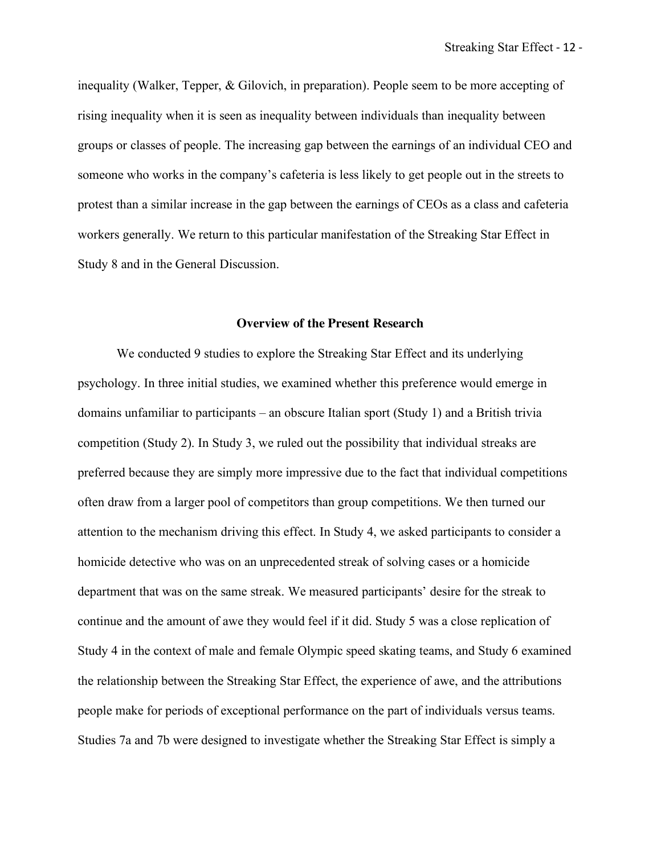inequality (Walker, Tepper, & Gilovich, in preparation). People seem to be more accepting of rising inequality when it is seen as inequality between individuals than inequality between groups or classes of people. The increasing gap between the earnings of an individual CEO and someone who works in the company's cafeteria is less likely to get people out in the streets to protest than a similar increase in the gap between the earnings of CEOs as a class and cafeteria workers generally. We return to this particular manifestation of the Streaking Star Effect in Study 8 and in the General Discussion.

#### **Overview of the Present Research**

We conducted 9 studies to explore the Streaking Star Effect and its underlying psychology. In three initial studies, we examined whether this preference would emerge in domains unfamiliar to participants – an obscure Italian sport (Study 1) and a British trivia competition (Study 2). In Study 3, we ruled out the possibility that individual streaks are preferred because they are simply more impressive due to the fact that individual competitions often draw from a larger pool of competitors than group competitions. We then turned our attention to the mechanism driving this effect. In Study 4, we asked participants to consider a homicide detective who was on an unprecedented streak of solving cases or a homicide department that was on the same streak. We measured participants' desire for the streak to continue and the amount of awe they would feel if it did. Study 5 was a close replication of Study 4 in the context of male and female Olympic speed skating teams, and Study 6 examined the relationship between the Streaking Star Effect, the experience of awe, and the attributions people make for periods of exceptional performance on the part of individuals versus teams. Studies 7a and 7b were designed to investigate whether the Streaking Star Effect is simply a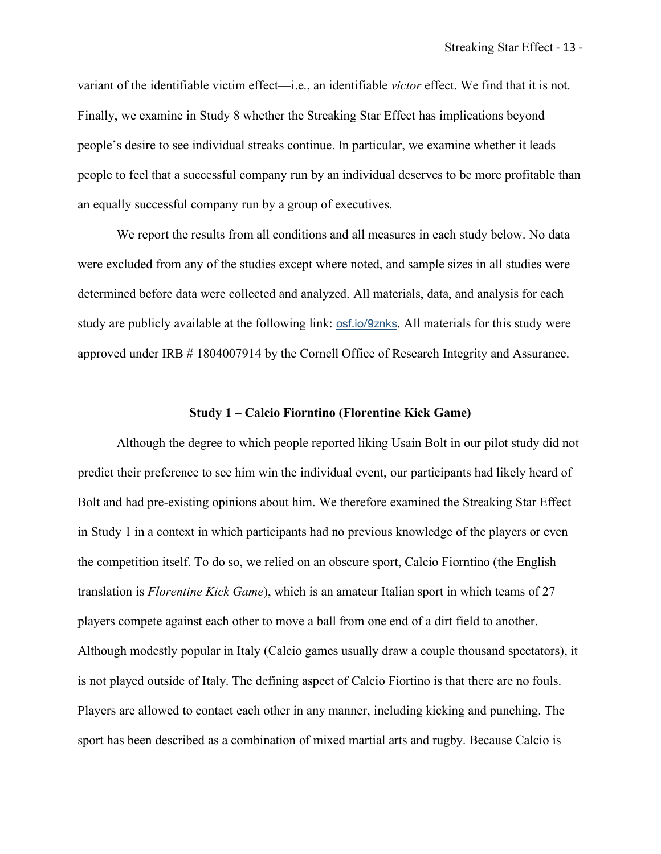variant of the identifiable victim effect—i.e., an identifiable *victor* effect. We find that it is not. Finally, we examine in Study 8 whether the Streaking Star Effect has implications beyond people's desire to see individual streaks continue. In particular, we examine whether it leads people to feel that a successful company run by an individual deserves to be more profitable than an equally successful company run by a group of executives.

We report the results from all conditions and all measures in each study below. No data were excluded from any of the studies except where noted, and sample sizes in all studies were determined before data were collected and analyzed. All materials, data, and analysis for each study are publicly available at the following link: osf.io/9znks. All materials for this study were approved under IRB # 1804007914 by the Cornell Office of Research Integrity and Assurance.

#### **Study 1 – Calcio Fiorntino (Florentine Kick Game)**

Although the degree to which people reported liking Usain Bolt in our pilot study did not predict their preference to see him win the individual event, our participants had likely heard of Bolt and had pre-existing opinions about him. We therefore examined the Streaking Star Effect in Study 1 in a context in which participants had no previous knowledge of the players or even the competition itself. To do so, we relied on an obscure sport, Calcio Fiorntino (the English translation is *Florentine Kick Game*), which is an amateur Italian sport in which teams of 27 players compete against each other to move a ball from one end of a dirt field to another. Although modestly popular in Italy (Calcio games usually draw a couple thousand spectators), it is not played outside of Italy. The defining aspect of Calcio Fiortino is that there are no fouls. Players are allowed to contact each other in any manner, including kicking and punching. The sport has been described as a combination of mixed martial arts and rugby. Because Calcio is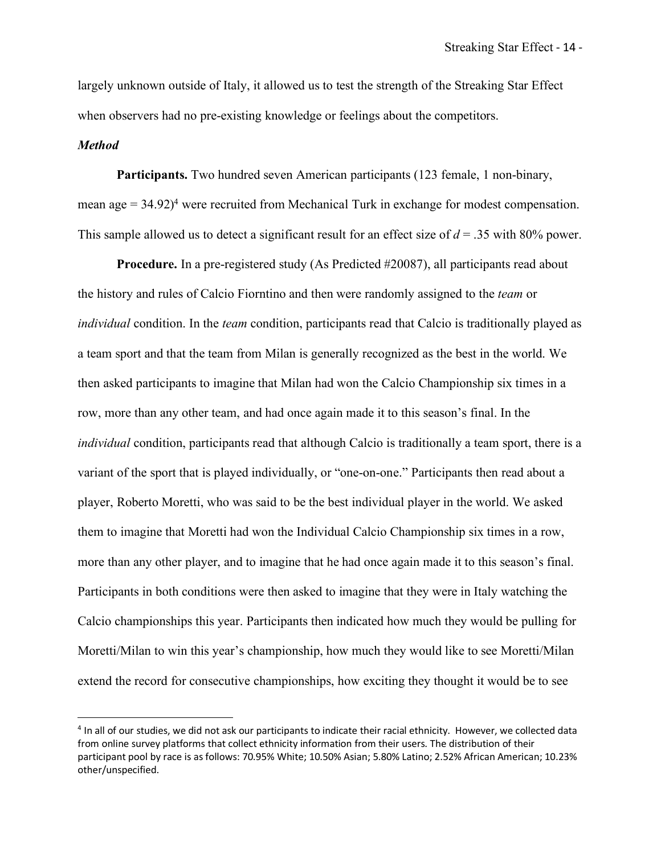largely unknown outside of Italy, it allowed us to test the strength of the Streaking Star Effect when observers had no pre-existing knowledge or feelings about the competitors.

#### *Method*

 $\overline{a}$ 

**Participants.** Two hundred seven American participants (123 female, 1 non-binary, mean age = 34.92)<sup>4</sup> were recruited from Mechanical Turk in exchange for modest compensation. This sample allowed us to detect a significant result for an effect size of *d* = .35 with 80% power.

**Procedure.** In a pre-registered study (As Predicted #20087), all participants read about the history and rules of Calcio Fiorntino and then were randomly assigned to the *team* or *individual* condition. In the *team* condition, participants read that Calcio is traditionally played as a team sport and that the team from Milan is generally recognized as the best in the world. We then asked participants to imagine that Milan had won the Calcio Championship six times in a row, more than any other team, and had once again made it to this season's final. In the *individual* condition, participants read that although Calcio is traditionally a team sport, there is a variant of the sport that is played individually, or "one-on-one." Participants then read about a player, Roberto Moretti, who was said to be the best individual player in the world. We asked them to imagine that Moretti had won the Individual Calcio Championship six times in a row, more than any other player, and to imagine that he had once again made it to this season's final. Participants in both conditions were then asked to imagine that they were in Italy watching the Calcio championships this year. Participants then indicated how much they would be pulling for Moretti/Milan to win this year's championship, how much they would like to see Moretti/Milan extend the record for consecutive championships, how exciting they thought it would be to see

<sup>&</sup>lt;sup>4</sup> In all of our studies, we did not ask our participants to indicate their racial ethnicity. However, we collected data from online survey platforms that collect ethnicity information from their users. The distribution of their participant pool by race is as follows: 70.95% White; 10.50% Asian; 5.80% Latino; 2.52% African American; 10.23% other/unspecified.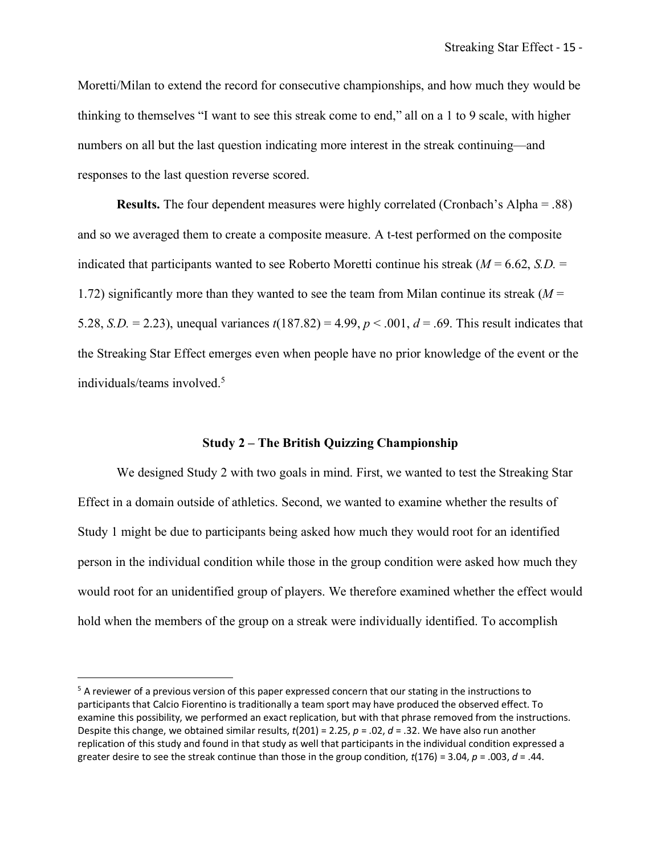Moretti/Milan to extend the record for consecutive championships, and how much they would be thinking to themselves "I want to see this streak come to end," all on a 1 to 9 scale, with higher numbers on all but the last question indicating more interest in the streak continuing—and responses to the last question reverse scored.

**Results.** The four dependent measures were highly correlated (Cronbach's Alpha = .88) and so we averaged them to create a composite measure. A t-test performed on the composite indicated that participants wanted to see Roberto Moretti continue his streak  $(M = 6.62, S.D. =$ 1.72) significantly more than they wanted to see the team from Milan continue its streak (*M* = 5.28, *S.D.* = 2.23), unequal variances *t*(187.82) = 4.99, *p* < .001, *d* = .69. This result indicates that the Streaking Star Effect emerges even when people have no prior knowledge of the event or the individuals/teams involved. 5

#### **Study 2 – The British Quizzing Championship**

We designed Study 2 with two goals in mind. First, we wanted to test the Streaking Star Effect in a domain outside of athletics. Second, we wanted to examine whether the results of Study 1 might be due to participants being asked how much they would root for an identified person in the individual condition while those in the group condition were asked how much they would root for an unidentified group of players. We therefore examined whether the effect would hold when the members of the group on a streak were individually identified. To accomplish

 $\overline{a}$ 

 $5$  A reviewer of a previous version of this paper expressed concern that our stating in the instructions to participants that Calcio Fiorentino is traditionally a team sport may have produced the observed effect. To examine this possibility, we performed an exact replication, but with that phrase removed from the instructions. Despite this change, we obtained similar results, *t*(201) = 2.25, *p* = .02, *d* = .32. We have also run another replication of this study and found in that study as well that participants in the individual condition expressed a greater desire to see the streak continue than those in the group condition, *t*(176) = 3.04, *p* = .003, *d* = .44.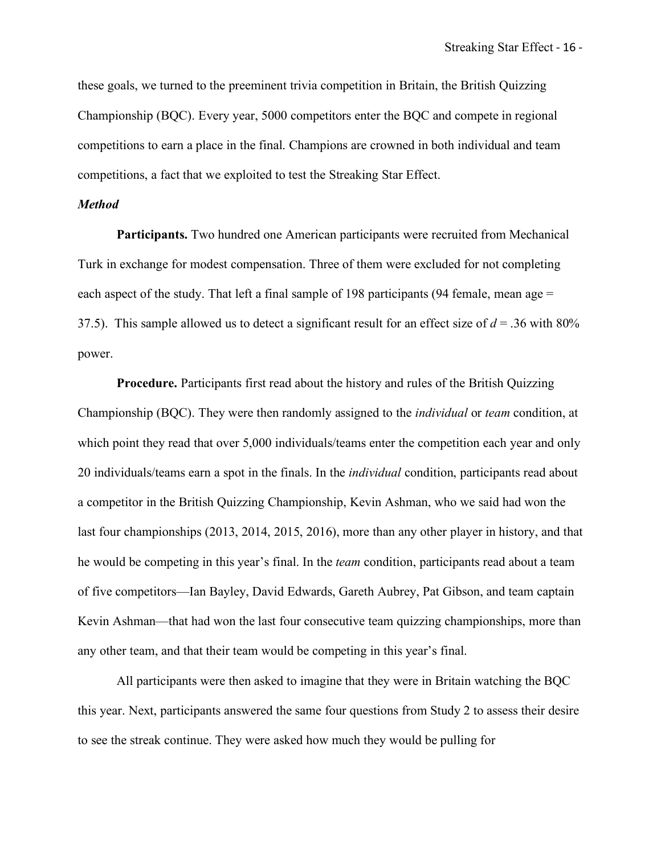these goals, we turned to the preeminent trivia competition in Britain, the British Quizzing Championship (BQC). Every year, 5000 competitors enter the BQC and compete in regional competitions to earn a place in the final. Champions are crowned in both individual and team competitions, a fact that we exploited to test the Streaking Star Effect.

## *Method*

**Participants.** Two hundred one American participants were recruited from Mechanical Turk in exchange for modest compensation. Three of them were excluded for not completing each aspect of the study. That left a final sample of 198 participants (94 female, mean age  $=$ 37.5). This sample allowed us to detect a significant result for an effect size of  $d = 0.36$  with 80% power.

**Procedure.** Participants first read about the history and rules of the British Quizzing Championship (BQC). They were then randomly assigned to the *individual* or *team* condition, at which point they read that over 5,000 individuals/teams enter the competition each year and only 20 individuals/teams earn a spot in the finals. In the *individual* condition, participants read about a competitor in the British Quizzing Championship, Kevin Ashman, who we said had won the last four championships (2013, 2014, 2015, 2016), more than any other player in history, and that he would be competing in this year's final. In the *team* condition, participants read about a team of five competitors—Ian Bayley, David Edwards, Gareth Aubrey, Pat Gibson, and team captain Kevin Ashman—that had won the last four consecutive team quizzing championships, more than any other team, and that their team would be competing in this year's final.

All participants were then asked to imagine that they were in Britain watching the BQC this year. Next, participants answered the same four questions from Study 2 to assess their desire to see the streak continue. They were asked how much they would be pulling for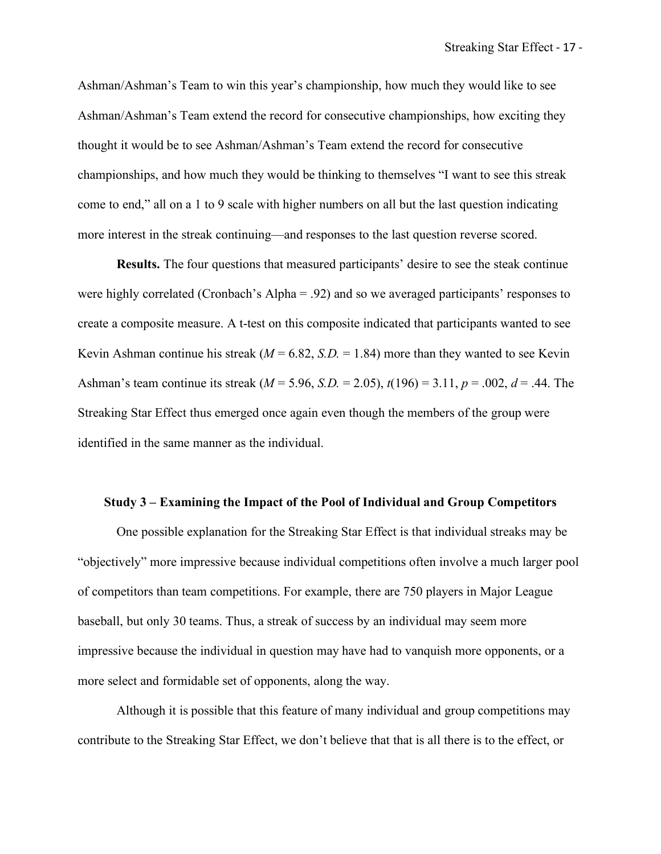Ashman/Ashman's Team to win this year's championship, how much they would like to see Ashman/Ashman's Team extend the record for consecutive championships, how exciting they thought it would be to see Ashman/Ashman's Team extend the record for consecutive championships, and how much they would be thinking to themselves "I want to see this streak come to end," all on a 1 to 9 scale with higher numbers on all but the last question indicating more interest in the streak continuing—and responses to the last question reverse scored.

**Results.** The four questions that measured participants' desire to see the steak continue were highly correlated (Cronbach's Alpha = .92) and so we averaged participants' responses to create a composite measure. A t-test on this composite indicated that participants wanted to see Kevin Ashman continue his streak  $(M = 6.82, S.D. = 1.84)$  more than they wanted to see Kevin Ashman's team continue its streak (*M* = 5.96, *S.D.* = 2.05), *t*(196) = 3.11, *p* = .002, *d* = .44. The Streaking Star Effect thus emerged once again even though the members of the group were identified in the same manner as the individual.

#### **Study 3 – Examining the Impact of the Pool of Individual and Group Competitors**

One possible explanation for the Streaking Star Effect is that individual streaks may be "objectively" more impressive because individual competitions often involve a much larger pool of competitors than team competitions. For example, there are 750 players in Major League baseball, but only 30 teams. Thus, a streak of success by an individual may seem more impressive because the individual in question may have had to vanquish more opponents, or a more select and formidable set of opponents, along the way.

Although it is possible that this feature of many individual and group competitions may contribute to the Streaking Star Effect, we don't believe that that is all there is to the effect, or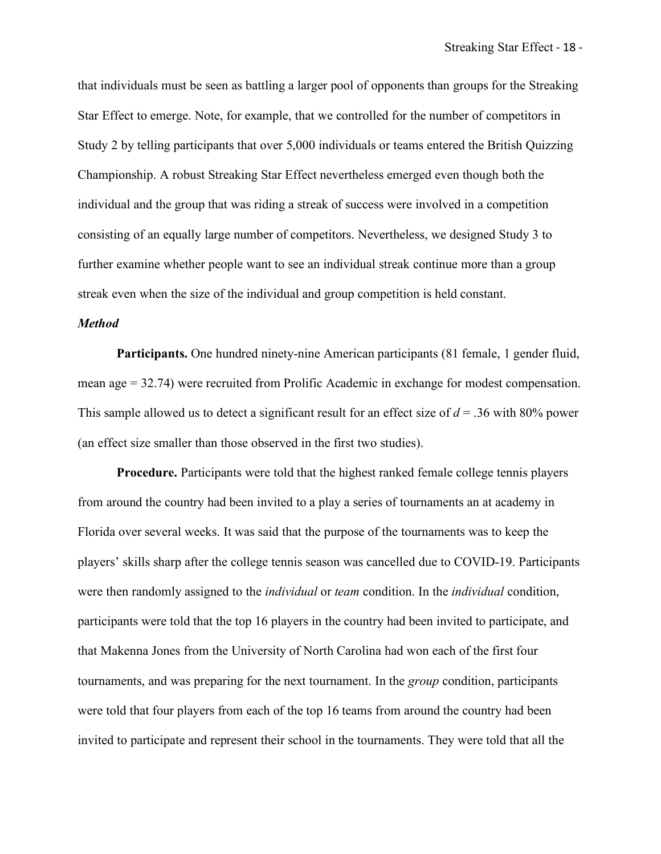that individuals must be seen as battling a larger pool of opponents than groups for the Streaking Star Effect to emerge. Note, for example, that we controlled for the number of competitors in Study 2 by telling participants that over 5,000 individuals or teams entered the British Quizzing Championship. A robust Streaking Star Effect nevertheless emerged even though both the individual and the group that was riding a streak of success were involved in a competition consisting of an equally large number of competitors. Nevertheless, we designed Study 3 to further examine whether people want to see an individual streak continue more than a group streak even when the size of the individual and group competition is held constant.

## *Method*

Participants. One hundred ninety-nine American participants (81 female, 1 gender fluid, mean age = 32.74) were recruited from Prolific Academic in exchange for modest compensation. This sample allowed us to detect a significant result for an effect size of *d* = .36 with 80% power (an effect size smaller than those observed in the first two studies).

**Procedure.** Participants were told that the highest ranked female college tennis players from around the country had been invited to a play a series of tournaments an at academy in Florida over several weeks. It was said that the purpose of the tournaments was to keep the players' skills sharp after the college tennis season was cancelled due to COVID-19. Participants were then randomly assigned to the *individual* or *team* condition. In the *individual* condition, participants were told that the top 16 players in the country had been invited to participate, and that Makenna Jones from the University of North Carolina had won each of the first four tournaments, and was preparing for the next tournament. In the *group* condition, participants were told that four players from each of the top 16 teams from around the country had been invited to participate and represent their school in the tournaments. They were told that all the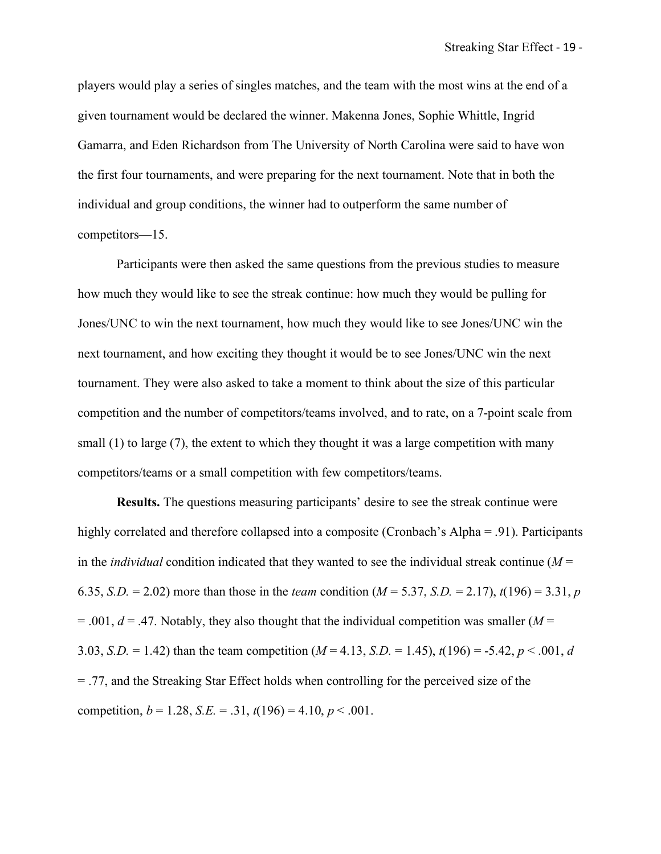players would play a series of singles matches, and the team with the most wins at the end of a given tournament would be declared the winner. Makenna Jones, Sophie Whittle, Ingrid Gamarra, and Eden Richardson from The University of North Carolina were said to have won the first four tournaments, and were preparing for the next tournament. Note that in both the individual and group conditions, the winner had to outperform the same number of competitors—15.

Participants were then asked the same questions from the previous studies to measure how much they would like to see the streak continue: how much they would be pulling for Jones/UNC to win the next tournament, how much they would like to see Jones/UNC win the next tournament, and how exciting they thought it would be to see Jones/UNC win the next tournament. They were also asked to take a moment to think about the size of this particular competition and the number of competitors/teams involved, and to rate, on a 7-point scale from small (1) to large (7), the extent to which they thought it was a large competition with many competitors/teams or a small competition with few competitors/teams.

**Results.** The questions measuring participants' desire to see the streak continue were highly correlated and therefore collapsed into a composite (Cronbach's Alpha = .91). Participants in the *individual* condition indicated that they wanted to see the individual streak continue ( $M =$ 6.35, *S.D.* = 2.02) more than those in the *team* condition ( $M = 5.37$ , *S.D.* = 2.17),  $t(196) = 3.31$ , *p*  $= .001$ ,  $d = .47$ . Notably, they also thought that the individual competition was smaller (*M* = 3.03, *S.D.* = 1.42) than the team competition (*M* = 4.13, *S.D.* = 1.45), *t*(196) = -5.42, *p* < .001, *d* = .77, and the Streaking Star Effect holds when controlling for the perceived size of the competition,  $b = 1.28$ ,  $S.E. = .31$ ,  $t(196) = 4.10$ ,  $p < .001$ .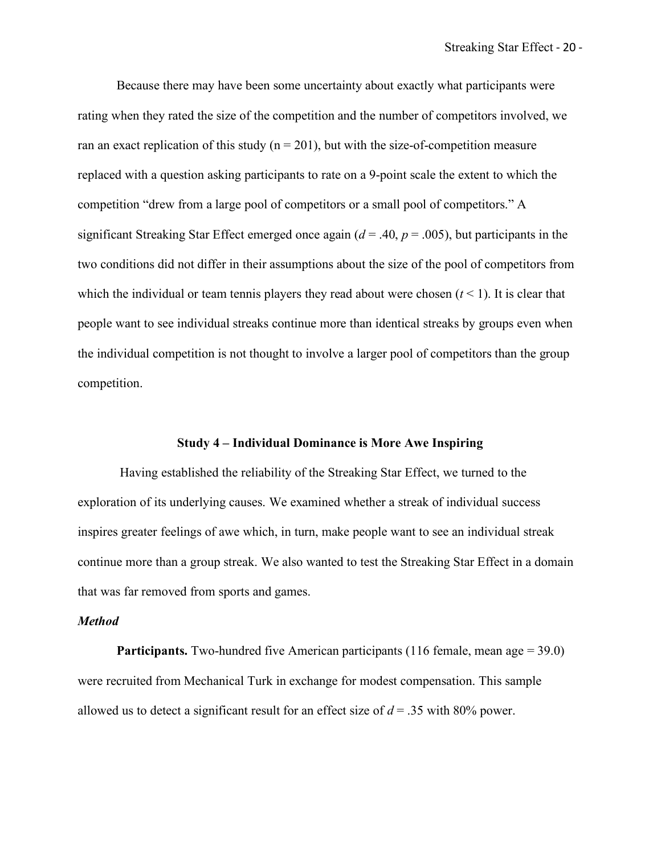Because there may have been some uncertainty about exactly what participants were rating when they rated the size of the competition and the number of competitors involved, we ran an exact replication of this study ( $n = 201$ ), but with the size-of-competition measure replaced with a question asking participants to rate on a 9-point scale the extent to which the competition "drew from a large pool of competitors or a small pool of competitors." A significant Streaking Star Effect emerged once again  $(d = .40, p = .005)$ , but participants in the two conditions did not differ in their assumptions about the size of the pool of competitors from which the individual or team tennis players they read about were chosen  $(t < 1)$ . It is clear that people want to see individual streaks continue more than identical streaks by groups even when the individual competition is not thought to involve a larger pool of competitors than the group competition.

# **Study 4 – Individual Dominance is More Awe Inspiring**

Having established the reliability of the Streaking Star Effect, we turned to the exploration of its underlying causes. We examined whether a streak of individual success inspires greater feelings of awe which, in turn, make people want to see an individual streak continue more than a group streak. We also wanted to test the Streaking Star Effect in a domain that was far removed from sports and games.

### *Method*

**Participants.** Two-hundred five American participants (116 female, mean age = 39.0) were recruited from Mechanical Turk in exchange for modest compensation. This sample allowed us to detect a significant result for an effect size of *d* = .35 with 80% power.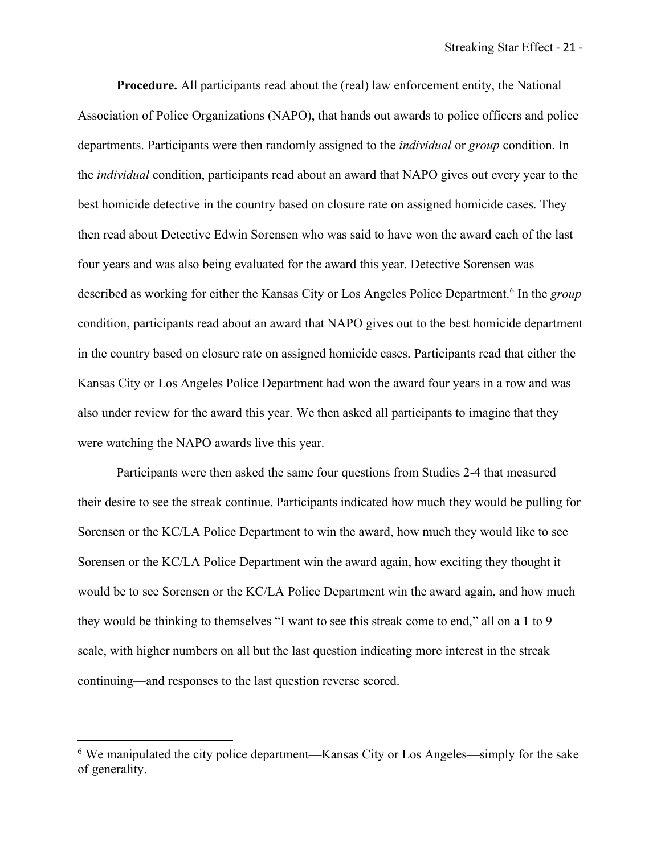**Procedure.** All participants read about the (real) law enforcement entity, the National Association of Police Organizations (NAPO), that hands out awards to police officers and police departments. Participants were then randomly assigned to the *individual* or *group* condition. In the *individual* condition, participants read about an award that NAPO gives out every year to the best homicide detective in the country based on closure rate on assigned homicide cases. They then read about Detective Edwin Sorensen who was said to have won the award each of the last four years and was also being evaluated for the award this year. Detective Sorensen was described as working for either the Kansas City or Los Angeles Police Department.6 In the *group* condition, participants read about an award that NAPO gives out to the best homicide department in the country based on closure rate on assigned homicide cases. Participants read that either the Kansas City or Los Angeles Police Department had won the award four years in a row and was also under review for the award this year. We then asked all participants to imagine that they were watching the NAPO awards live this year.

Participants were then asked the same four questions from Studies 2-4 that measured their desire to see the streak continue. Participants indicated how much they would be pulling for Sorensen or the KC/LA Police Department to win the award, how much they would like to see Sorensen or the KC/LA Police Department win the award again, how exciting they thought it would be to see Sorensen or the KC/LA Police Department win the award again, and how much they would be thinking to themselves "I want to see this streak come to end," all on a 1 to 9 scale, with higher numbers on all but the last question indicating more interest in the streak continuing—and responses to the last question reverse scored.

 <sup>6</sup> We manipulated the city police department—Kansas City or Los Angeles—simply for the sake of generality.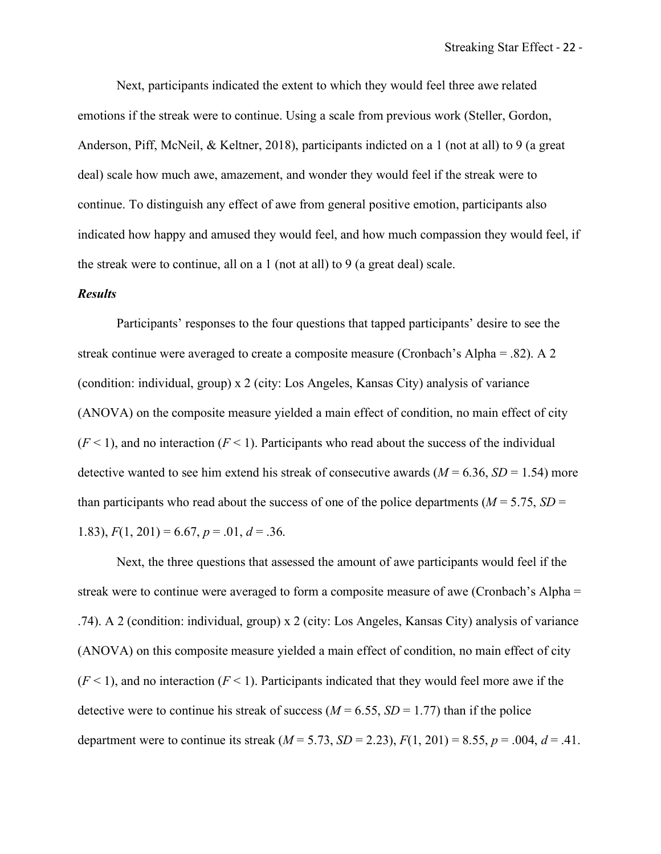Next, participants indicated the extent to which they would feel three awe related emotions if the streak were to continue. Using a scale from previous work (Steller, Gordon, Anderson, Piff, McNeil, & Keltner, 2018), participants indicted on a 1 (not at all) to 9 (a great deal) scale how much awe, amazement, and wonder they would feel if the streak were to continue. To distinguish any effect of awe from general positive emotion, participants also indicated how happy and amused they would feel, and how much compassion they would feel, if the streak were to continue, all on a 1 (not at all) to 9 (a great deal) scale.

### *Results*

Participants' responses to the four questions that tapped participants' desire to see the streak continue were averaged to create a composite measure (Cronbach's Alpha = .82). A 2 (condition: individual, group) x 2 (city: Los Angeles, Kansas City) analysis of variance (ANOVA) on the composite measure yielded a main effect of condition, no main effect of city  $(F<1)$ , and no interaction  $(F<1)$ . Participants who read about the success of the individual detective wanted to see him extend his streak of consecutive awards  $(M = 6.36, SD = 1.54)$  more than participants who read about the success of one of the police departments ( $M = 5.75$ ,  $SD =$ 1.83),  $F(1, 201) = 6.67$ ,  $p = .01$ ,  $d = .36$ .

Next, the three questions that assessed the amount of awe participants would feel if the streak were to continue were averaged to form a composite measure of awe (Cronbach's Alpha = .74). A 2 (condition: individual, group) x 2 (city: Los Angeles, Kansas City) analysis of variance (ANOVA) on this composite measure yielded a main effect of condition, no main effect of city  $(F<1)$ , and no interaction  $(F<1)$ . Participants indicated that they would feel more awe if the detective were to continue his streak of success ( $M = 6.55$ ,  $SD = 1.77$ ) than if the police department were to continue its streak  $(M = 5.73, SD = 2.23), F(1, 201) = 8.55, p = .004, d = .41.$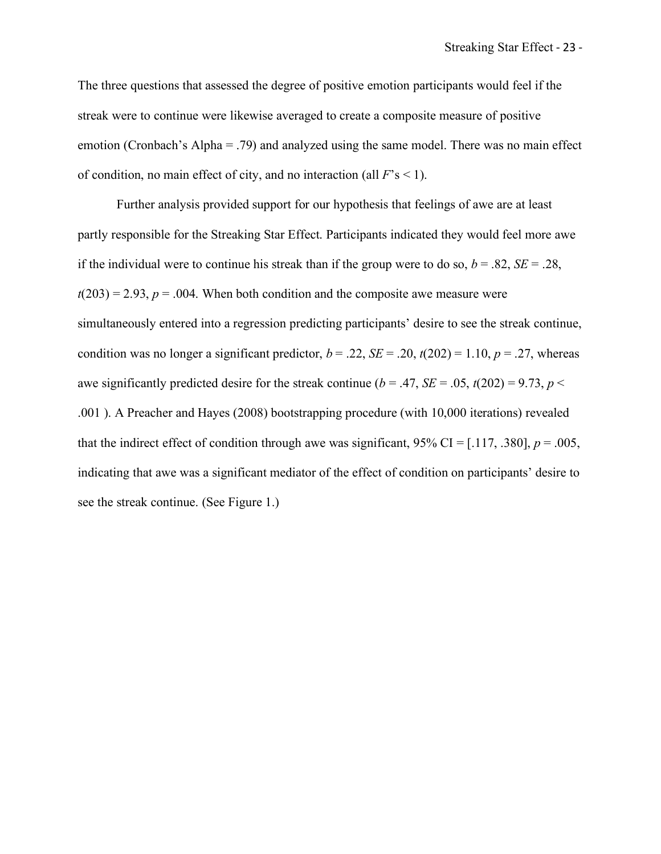The three questions that assessed the degree of positive emotion participants would feel if the streak were to continue were likewise averaged to create a composite measure of positive emotion (Cronbach's Alpha = .79) and analyzed using the same model. There was no main effect of condition, no main effect of city, and no interaction (all  $F$ 's < 1).

Further analysis provided support for our hypothesis that feelings of awe are at least partly responsible for the Streaking Star Effect. Participants indicated they would feel more awe if the individual were to continue his streak than if the group were to do so,  $b = .82$ ,  $SE = .28$ ,  $t(203) = 2.93$ ,  $p = .004$ . When both condition and the composite awe measure were simultaneously entered into a regression predicting participants' desire to see the streak continue, condition was no longer a significant predictor,  $b = .22$ ,  $SE = .20$ ,  $t(202) = 1.10$ ,  $p = .27$ , whereas awe significantly predicted desire for the streak continue ( $b = .47$ ,  $SE = .05$ ,  $t(202) = 9.73$ ,  $p <$ .001 ). A Preacher and Hayes (2008) bootstrapping procedure (with 10,000 iterations) revealed that the indirect effect of condition through awe was significant,  $95\%$  CI = [.117, .380],  $p = .005$ , indicating that awe was a significant mediator of the effect of condition on participants' desire to see the streak continue. (See Figure 1.)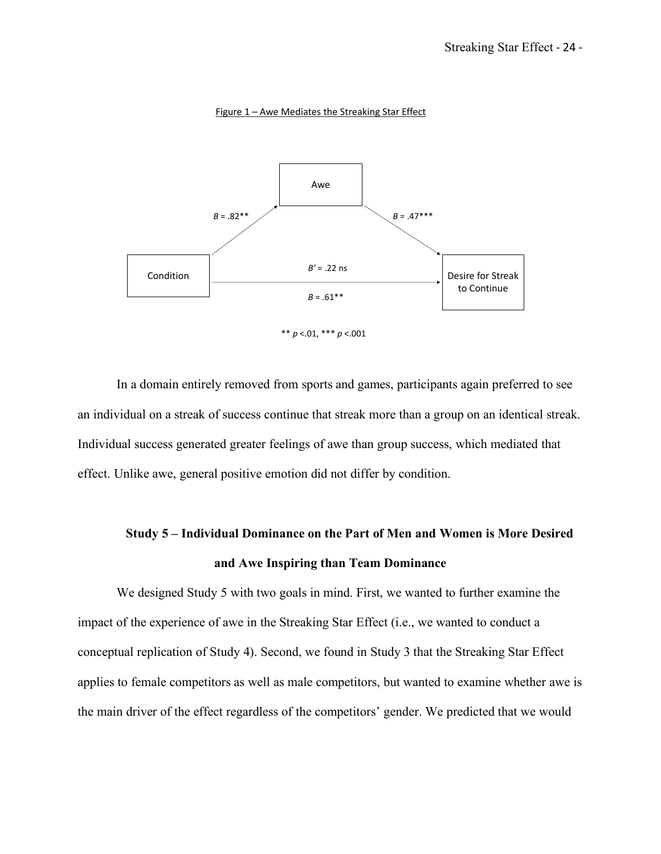

Figure 1 – Awe Mediates the Streaking Star Effect

In a domain entirely removed from sports and games, participants again preferred to see an individual on a streak of success continue that streak more than a group on an identical streak. Individual success generated greater feelings of awe than group success, which mediated that effect. Unlike awe, general positive emotion did not differ by condition.

# **Study 5 – Individual Dominance on the Part of Men and Women is More Desired and Awe Inspiring than Team Dominance**

We designed Study 5 with two goals in mind. First, we wanted to further examine the impact of the experience of awe in the Streaking Star Effect (i.e., we wanted to conduct a conceptual replication of Study 4). Second, we found in Study 3 that the Streaking Star Effect applies to female competitors as well as male competitors, but wanted to examine whether awe is the main driver of the effect regardless of the competitors' gender. We predicted that we would

<sup>\*\*</sup> *p* <.01, \*\*\* *p* <.001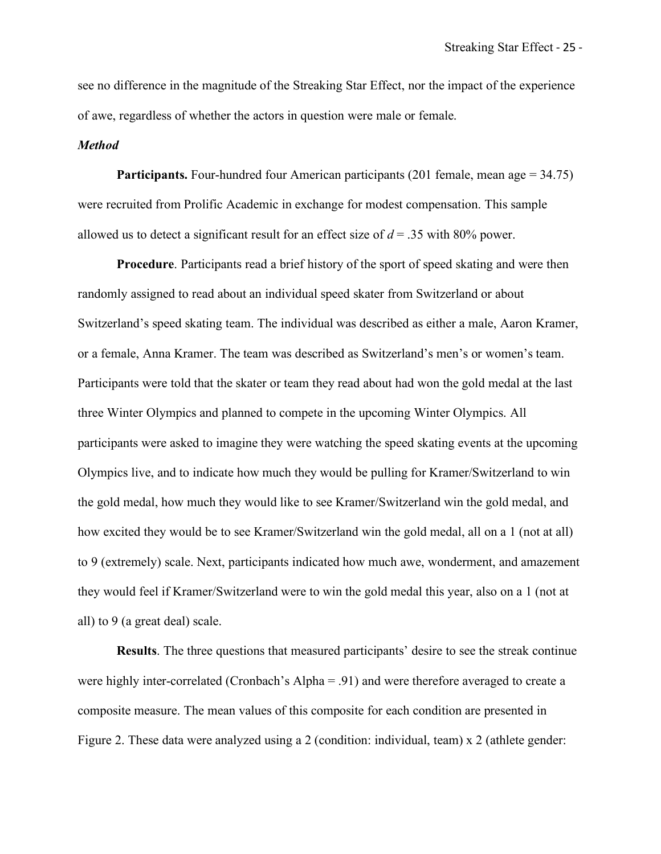see no difference in the magnitude of the Streaking Star Effect, nor the impact of the experience of awe, regardless of whether the actors in question were male or female.

#### *Method*

**Participants.** Four-hundred four American participants  $(201 \text{ female, mean age} = 34.75)$ were recruited from Prolific Academic in exchange for modest compensation. This sample allowed us to detect a significant result for an effect size of *d* = .35 with 80% power.

**Procedure**. Participants read a brief history of the sport of speed skating and were then randomly assigned to read about an individual speed skater from Switzerland or about Switzerland's speed skating team. The individual was described as either a male, Aaron Kramer, or a female, Anna Kramer. The team was described as Switzerland's men's or women's team. Participants were told that the skater or team they read about had won the gold medal at the last three Winter Olympics and planned to compete in the upcoming Winter Olympics. All participants were asked to imagine they were watching the speed skating events at the upcoming Olympics live, and to indicate how much they would be pulling for Kramer/Switzerland to win the gold medal, how much they would like to see Kramer/Switzerland win the gold medal, and how excited they would be to see Kramer/Switzerland win the gold medal, all on a 1 (not at all) to 9 (extremely) scale. Next, participants indicated how much awe, wonderment, and amazement they would feel if Kramer/Switzerland were to win the gold medal this year, also on a 1 (not at all) to 9 (a great deal) scale.

**Results**. The three questions that measured participants' desire to see the streak continue were highly inter-correlated (Cronbach's Alpha = .91) and were therefore averaged to create a composite measure. The mean values of this composite for each condition are presented in Figure 2. These data were analyzed using a 2 (condition: individual, team) x 2 (athlete gender: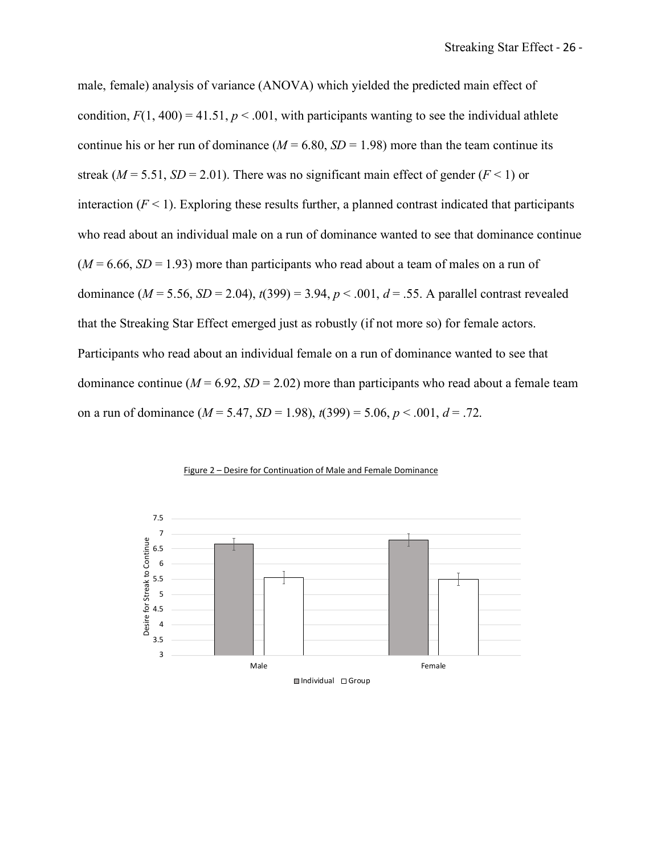male, female) analysis of variance (ANOVA) which yielded the predicted main effect of condition,  $F(1, 400) = 41.51$ ,  $p < .001$ , with participants wanting to see the individual athlete continue his or her run of dominance ( $M = 6.80$ ,  $SD = 1.98$ ) more than the team continue its streak ( $M = 5.51$ ,  $SD = 2.01$ ). There was no significant main effect of gender ( $F < 1$ ) or interaction  $(F \le 1)$ . Exploring these results further, a planned contrast indicated that participants who read about an individual male on a run of dominance wanted to see that dominance continue  $(M = 6.66, SD = 1.93)$  more than participants who read about a team of males on a run of dominance  $(M = 5.56, SD = 2.04)$ ,  $t(399) = 3.94, p < .001, d = .55$ . A parallel contrast revealed that the Streaking Star Effect emerged just as robustly (if not more so) for female actors. Participants who read about an individual female on a run of dominance wanted to see that dominance continue ( $M = 6.92$ ,  $SD = 2.02$ ) more than participants who read about a female team on a run of dominance  $(M = 5.47, SD = 1.98)$ ,  $t(399) = 5.06, p < .001, d = .72$ .



Figure 2 – Desire for Continuation of Male and Female Dominance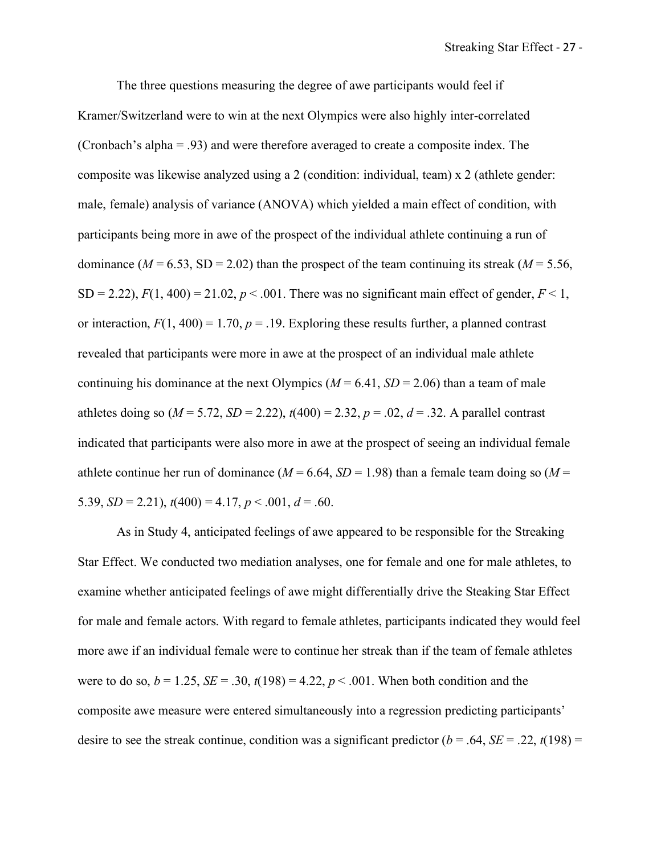The three questions measuring the degree of awe participants would feel if Kramer/Switzerland were to win at the next Olympics were also highly inter-correlated (Cronbach's alpha = .93) and were therefore averaged to create a composite index. The composite was likewise analyzed using a 2 (condition: individual, team) x 2 (athlete gender: male, female) analysis of variance (ANOVA) which yielded a main effect of condition, with participants being more in awe of the prospect of the individual athlete continuing a run of dominance ( $M = 6.53$ , SD = 2.02) than the prospect of the team continuing its streak ( $M = 5.56$ , SD = 2.22),  $F(1, 400) = 21.02$ ,  $p < .001$ . There was no significant main effect of gender,  $F < 1$ , or interaction,  $F(1, 400) = 1.70$ ,  $p = .19$ . Exploring these results further, a planned contrast revealed that participants were more in awe at the prospect of an individual male athlete continuing his dominance at the next Olympics ( $M = 6.41$ ,  $SD = 2.06$ ) than a team of male athletes doing so  $(M = 5.72, SD = 2.22)$ ,  $t(400) = 2.32, p = .02, d = .32$ . A parallel contrast indicated that participants were also more in awe at the prospect of seeing an individual female athlete continue her run of dominance ( $M = 6.64$ ,  $SD = 1.98$ ) than a female team doing so ( $M =$ 5.39,  $SD = 2.21$ ,  $t(400) = 4.17$ ,  $p < .001$ ,  $d = .60$ .

As in Study 4, anticipated feelings of awe appeared to be responsible for the Streaking Star Effect. We conducted two mediation analyses, one for female and one for male athletes, to examine whether anticipated feelings of awe might differentially drive the Steaking Star Effect for male and female actors. With regard to female athletes, participants indicated they would feel more awe if an individual female were to continue her streak than if the team of female athletes were to do so,  $b = 1.25$ ,  $SE = .30$ ,  $t(198) = 4.22$ ,  $p < .001$ . When both condition and the composite awe measure were entered simultaneously into a regression predicting participants' desire to see the streak continue, condition was a significant predictor ( $b = .64$ ,  $SE = .22$ ,  $t(198) =$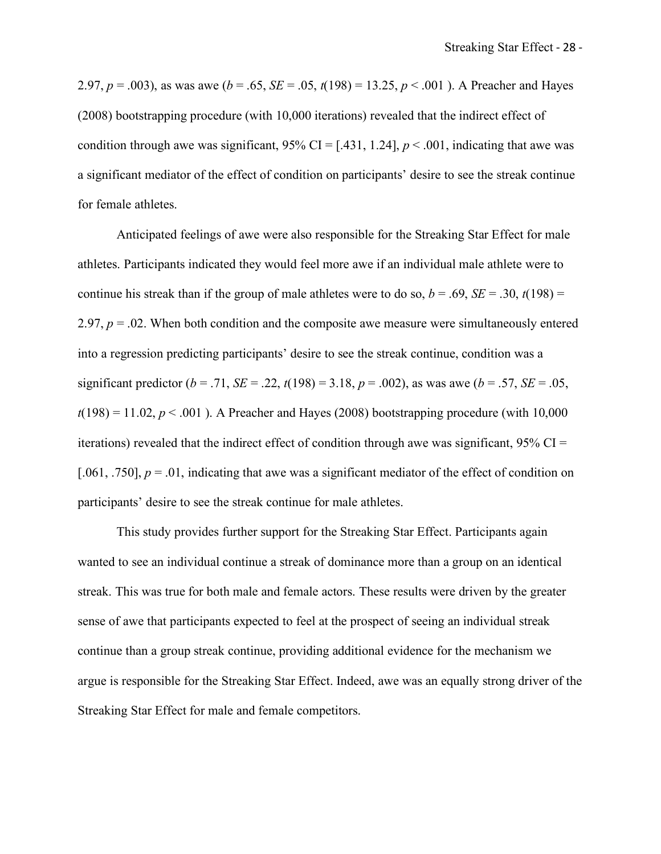2.97,  $p = .003$ ), as was awe ( $b = .65$ ,  $SE = .05$ ,  $t(198) = 13.25$ ,  $p < .001$ ). A Preacher and Hayes (2008) bootstrapping procedure (with 10,000 iterations) revealed that the indirect effect of condition through awe was significant,  $95\%$  CI = [.431, 1.24],  $p < .001$ , indicating that awe was a significant mediator of the effect of condition on participants' desire to see the streak continue for female athletes.

Anticipated feelings of awe were also responsible for the Streaking Star Effect for male athletes. Participants indicated they would feel more awe if an individual male athlete were to continue his streak than if the group of male athletes were to do so,  $b = .69$ ,  $SE = .30$ ,  $t(198) =$ 2.97,  $p = 0.02$ . When both condition and the composite awe measure were simultaneously entered into a regression predicting participants' desire to see the streak continue, condition was a significant predictor ( $b = .71$ , *SE* = .22,  $t(198) = 3.18$ ,  $p = .002$ ), as was awe ( $b = .57$ , *SE* = .05,  $t(198) = 11.02$ ,  $p < .001$ ). A Preacher and Hayes (2008) bootstrapping procedure (with 10,000 iterations) revealed that the indirect effect of condition through awe was significant,  $95\%$  CI = [.061, .750],  $p = 0.01$ , indicating that awe was a significant mediator of the effect of condition on participants' desire to see the streak continue for male athletes.

This study provides further support for the Streaking Star Effect. Participants again wanted to see an individual continue a streak of dominance more than a group on an identical streak. This was true for both male and female actors. These results were driven by the greater sense of awe that participants expected to feel at the prospect of seeing an individual streak continue than a group streak continue, providing additional evidence for the mechanism we argue is responsible for the Streaking Star Effect. Indeed, awe was an equally strong driver of the Streaking Star Effect for male and female competitors.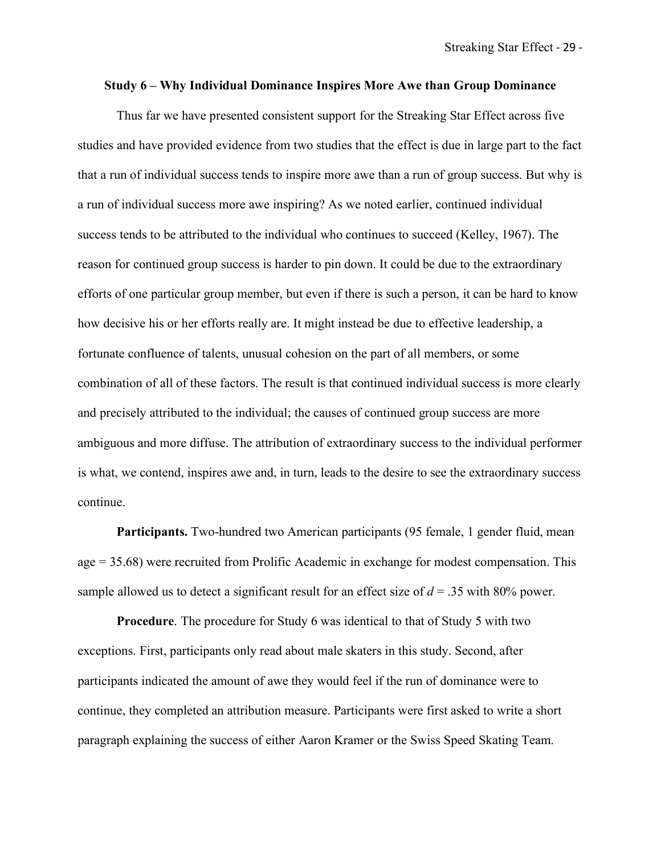### **Study 6 – Why Individual Dominance Inspires More Awe than Group Dominance**

Thus far we have presented consistent support for the Streaking Star Effect across five studies and have provided evidence from two studies that the effect is due in large part to the fact that a run of individual success tends to inspire more awe than a run of group success. But why is a run of individual success more awe inspiring? As we noted earlier, continued individual success tends to be attributed to the individual who continues to succeed (Kelley, 1967). The reason for continued group success is harder to pin down. It could be due to the extraordinary efforts of one particular group member, but even if there is such a person, it can be hard to know how decisive his or her efforts really are. It might instead be due to effective leadership, a fortunate confluence of talents, unusual cohesion on the part of all members, or some combination of all of these factors. The result is that continued individual success is more clearly and precisely attributed to the individual; the causes of continued group success are more ambiguous and more diffuse. The attribution of extraordinary success to the individual performer is what, we contend, inspires awe and, in turn, leads to the desire to see the extraordinary success continue.

**Participants.** Two-hundred two American participants (95 female, 1 gender fluid, mean age = 35.68) were recruited from Prolific Academic in exchange for modest compensation. This sample allowed us to detect a significant result for an effect size of  $d = 0.35$  with 80% power.

**Procedure**. The procedure for Study 6 was identical to that of Study 5 with two exceptions. First, participants only read about male skaters in this study. Second, after participants indicated the amount of awe they would feel if the run of dominance were to continue, they completed an attribution measure. Participants were first asked to write a short paragraph explaining the success of either Aaron Kramer or the Swiss Speed Skating Team.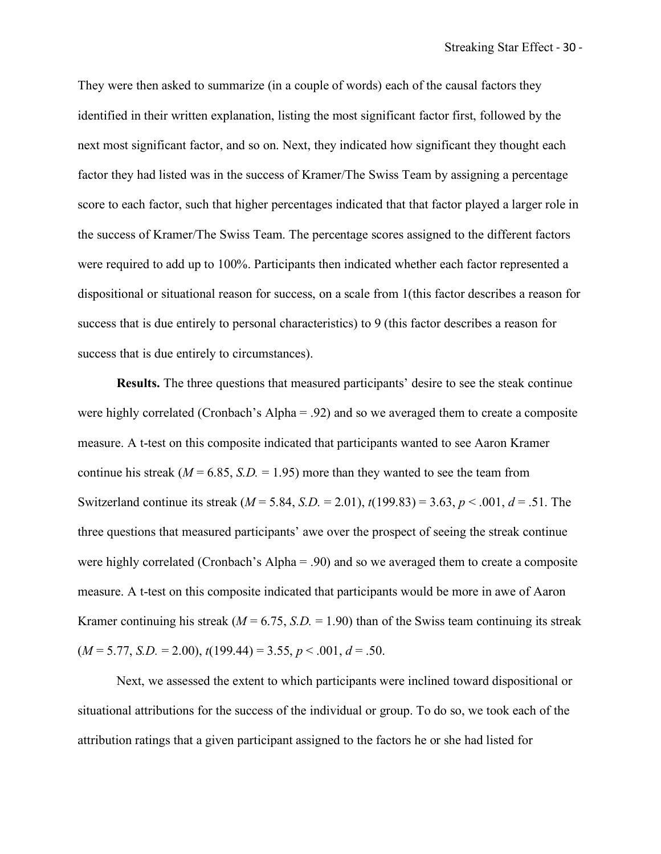They were then asked to summarize (in a couple of words) each of the causal factors they identified in their written explanation, listing the most significant factor first, followed by the next most significant factor, and so on. Next, they indicated how significant they thought each factor they had listed was in the success of Kramer/The Swiss Team by assigning a percentage score to each factor, such that higher percentages indicated that that factor played a larger role in the success of Kramer/The Swiss Team. The percentage scores assigned to the different factors were required to add up to 100%. Participants then indicated whether each factor represented a dispositional or situational reason for success, on a scale from 1(this factor describes a reason for success that is due entirely to personal characteristics) to 9 (this factor describes a reason for success that is due entirely to circumstances).

**Results.** The three questions that measured participants' desire to see the steak continue were highly correlated (Cronbach's Alpha = .92) and so we averaged them to create a composite measure. A t-test on this composite indicated that participants wanted to see Aaron Kramer continue his streak ( $M = 6.85$ ,  $S.D. = 1.95$ ) more than they wanted to see the team from Switzerland continue its streak (*M* = 5.84, *S.D.* = 2.01), *t*(199.83) = 3.63, *p* < .001, *d* = .51. The three questions that measured participants' awe over the prospect of seeing the streak continue were highly correlated (Cronbach's Alpha = .90) and so we averaged them to create a composite measure. A t-test on this composite indicated that participants would be more in awe of Aaron Kramer continuing his streak ( $M = 6.75$ ,  $S.D. = 1.90$ ) than of the Swiss team continuing its streak  $(M = 5.77, S.D. = 2.00), t(199.44) = 3.55, p < .001, d = .50.$ 

Next, we assessed the extent to which participants were inclined toward dispositional or situational attributions for the success of the individual or group. To do so, we took each of the attribution ratings that a given participant assigned to the factors he or she had listed for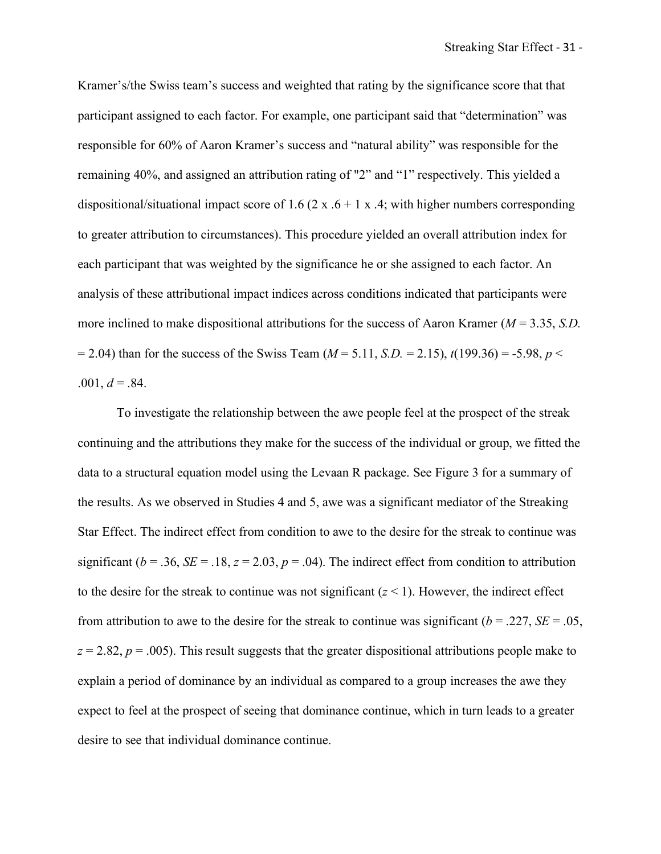Kramer's/the Swiss team's success and weighted that rating by the significance score that that participant assigned to each factor. For example, one participant said that "determination" was responsible for 60% of Aaron Kramer's success and "natural ability" was responsible for the remaining 40%, and assigned an attribution rating of "2" and "1" respectively. This yielded a dispositional/situational impact score of 1.6 (2 x  $.6 + 1$  x  $.4$ ; with higher numbers corresponding to greater attribution to circumstances). This procedure yielded an overall attribution index for each participant that was weighted by the significance he or she assigned to each factor. An analysis of these attributional impact indices across conditions indicated that participants were more inclined to make dispositional attributions for the success of Aaron Kramer (*M* = 3.35, *S.D.*  $= 2.04$ ) than for the success of the Swiss Team ( $M = 5.11$ , *S.D.* = 2.15),  $t(199.36) = -5.98$ ,  $p <$  $.001, d = .84.$ 

To investigate the relationship between the awe people feel at the prospect of the streak continuing and the attributions they make for the success of the individual or group, we fitted the data to a structural equation model using the Levaan R package. See Figure 3 for a summary of the results. As we observed in Studies 4 and 5, awe was a significant mediator of the Streaking Star Effect. The indirect effect from condition to awe to the desire for the streak to continue was significant ( $b = .36$ ,  $SE = .18$ ,  $z = 2.03$ ,  $p = .04$ ). The indirect effect from condition to attribution to the desire for the streak to continue was not significant  $(z < 1)$ . However, the indirect effect from attribution to awe to the desire for the streak to continue was significant ( $b = .227$ ,  $SE = .05$ ,  $z = 2.82$ ,  $p = .005$ ). This result suggests that the greater dispositional attributions people make to explain a period of dominance by an individual as compared to a group increases the awe they expect to feel at the prospect of seeing that dominance continue, which in turn leads to a greater desire to see that individual dominance continue.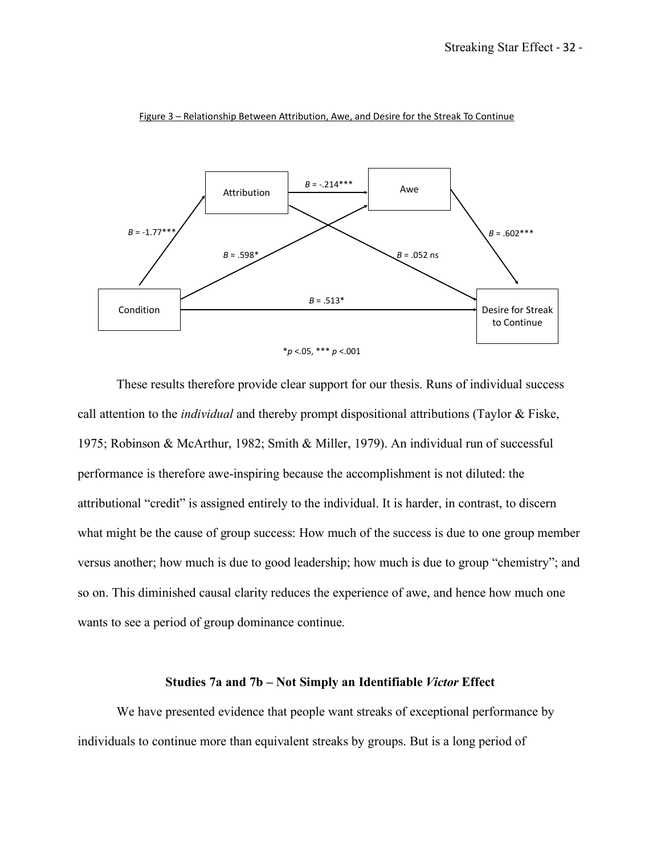

Figure 3 – Relationship Between Attribution, Awe, and Desire for the Streak To Continue

These results therefore provide clear support for our thesis. Runs of individual success call attention to the *individual* and thereby prompt dispositional attributions (Taylor & Fiske, 1975; Robinson & McArthur, 1982; Smith & Miller, 1979). An individual run of successful performance is therefore awe-inspiring because the accomplishment is not diluted: the attributional "credit" is assigned entirely to the individual. It is harder, in contrast, to discern what might be the cause of group success: How much of the success is due to one group member versus another; how much is due to good leadership; how much is due to group "chemistry"; and so on. This diminished causal clarity reduces the experience of awe, and hence how much one wants to see a period of group dominance continue.

## **Studies 7a and 7b – Not Simply an Identifiable** *Victor* **Effect**

We have presented evidence that people want streaks of exceptional performance by individuals to continue more than equivalent streaks by groups. But is a long period of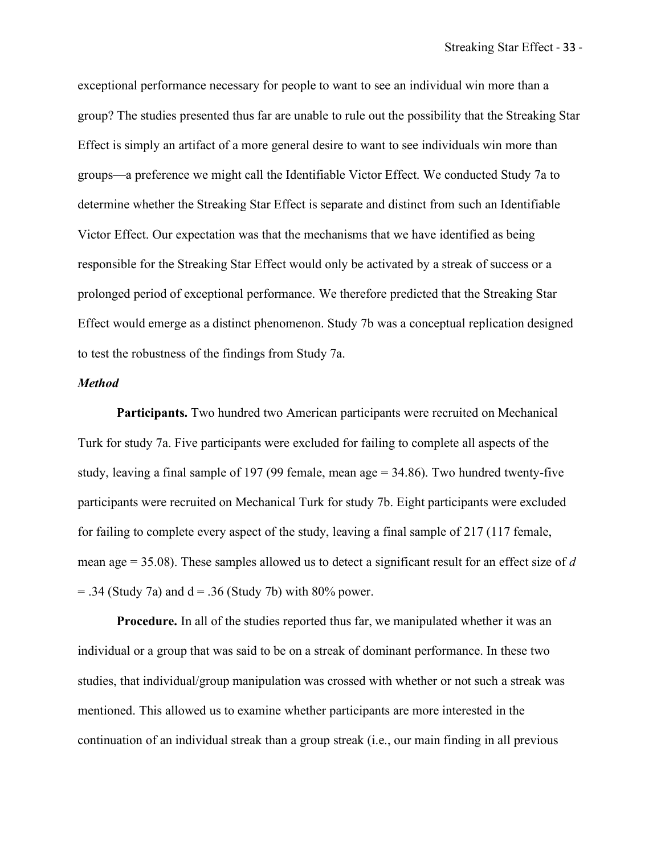exceptional performance necessary for people to want to see an individual win more than a group? The studies presented thus far are unable to rule out the possibility that the Streaking Star Effect is simply an artifact of a more general desire to want to see individuals win more than groups—a preference we might call the Identifiable Victor Effect. We conducted Study 7a to determine whether the Streaking Star Effect is separate and distinct from such an Identifiable Victor Effect. Our expectation was that the mechanisms that we have identified as being responsible for the Streaking Star Effect would only be activated by a streak of success or a prolonged period of exceptional performance. We therefore predicted that the Streaking Star Effect would emerge as a distinct phenomenon. Study 7b was a conceptual replication designed to test the robustness of the findings from Study 7a.

#### *Method*

**Participants.** Two hundred two American participants were recruited on Mechanical Turk for study 7a. Five participants were excluded for failing to complete all aspects of the study, leaving a final sample of 197 (99 female, mean age = 34.86). Two hundred twenty-five participants were recruited on Mechanical Turk for study 7b. Eight participants were excluded for failing to complete every aspect of the study, leaving a final sample of 217 (117 female, mean age = 35.08). These samples allowed us to detect a significant result for an effect size of *d*  $=$  .34 (Study 7a) and d  $=$  .36 (Study 7b) with 80% power.

**Procedure.** In all of the studies reported thus far, we manipulated whether it was an individual or a group that was said to be on a streak of dominant performance. In these two studies, that individual/group manipulation was crossed with whether or not such a streak was mentioned. This allowed us to examine whether participants are more interested in the continuation of an individual streak than a group streak (i.e., our main finding in all previous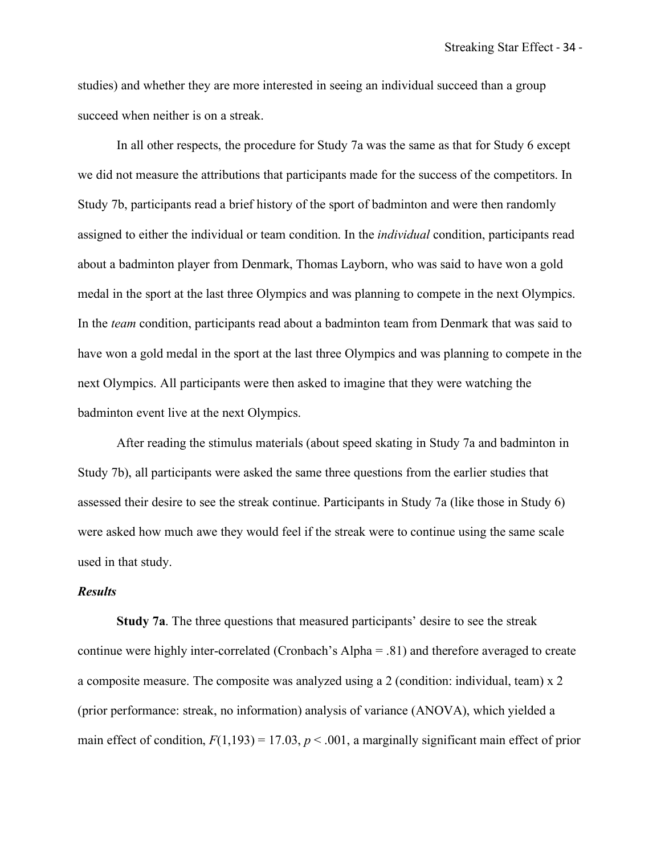studies) and whether they are more interested in seeing an individual succeed than a group succeed when neither is on a streak.

In all other respects, the procedure for Study 7a was the same as that for Study 6 except we did not measure the attributions that participants made for the success of the competitors. In Study 7b, participants read a brief history of the sport of badminton and were then randomly assigned to either the individual or team condition. In the *individual* condition, participants read about a badminton player from Denmark, Thomas Layborn, who was said to have won a gold medal in the sport at the last three Olympics and was planning to compete in the next Olympics. In the *team* condition, participants read about a badminton team from Denmark that was said to have won a gold medal in the sport at the last three Olympics and was planning to compete in the next Olympics. All participants were then asked to imagine that they were watching the badminton event live at the next Olympics.

After reading the stimulus materials (about speed skating in Study 7a and badminton in Study 7b), all participants were asked the same three questions from the earlier studies that assessed their desire to see the streak continue. Participants in Study 7a (like those in Study 6) were asked how much awe they would feel if the streak were to continue using the same scale used in that study.

## *Results*

**Study 7a**. The three questions that measured participants' desire to see the streak continue were highly inter-correlated (Cronbach's Alpha = .81) and therefore averaged to create a composite measure. The composite was analyzed using a 2 (condition: individual, team) x 2 (prior performance: streak, no information) analysis of variance (ANOVA), which yielded a main effect of condition,  $F(1,193) = 17.03$ ,  $p < .001$ , a marginally significant main effect of prior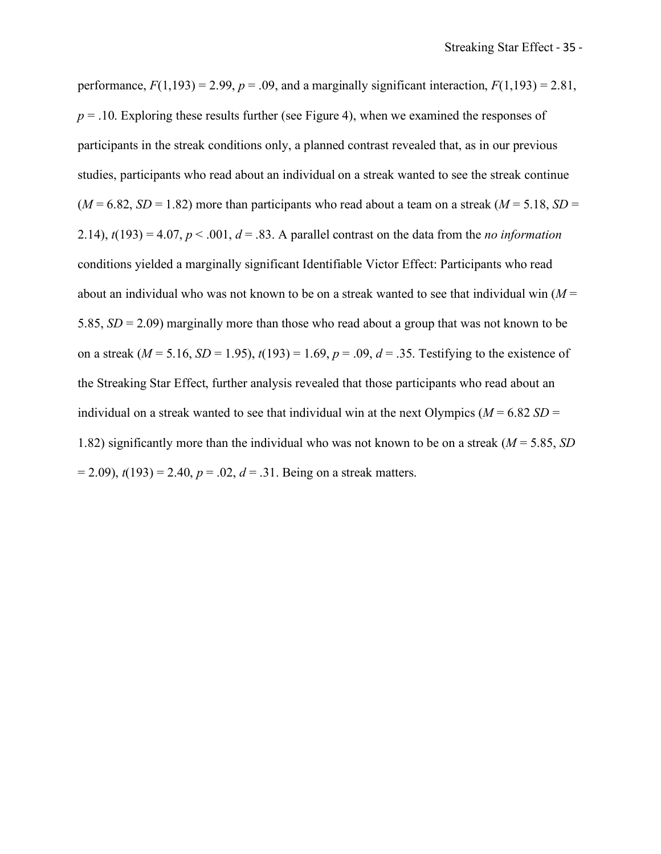performance,  $F(1,193) = 2.99$ ,  $p = .09$ , and a marginally significant interaction,  $F(1,193) = 2.81$ ,  $p = 0.10$ . Exploring these results further (see Figure 4), when we examined the responses of participants in the streak conditions only, a planned contrast revealed that, as in our previous studies, participants who read about an individual on a streak wanted to see the streak continue  $(M = 6.82, SD = 1.82)$  more than participants who read about a team on a streak  $(M = 5.18, SD = 1.82)$ 2.14),  $t(193) = 4.07$ ,  $p < .001$ ,  $d = .83$ . A parallel contrast on the data from the *no information* conditions yielded a marginally significant Identifiable Victor Effect: Participants who read about an individual who was not known to be on a streak wanted to see that individual win (*M* = 5.85, *SD* = 2.09) marginally more than those who read about a group that was not known to be on a streak ( $M = 5.16$ ,  $SD = 1.95$ ),  $t(193) = 1.69$ ,  $p = .09$ ,  $d = .35$ . Testifying to the existence of the Streaking Star Effect, further analysis revealed that those participants who read about an individual on a streak wanted to see that individual win at the next Olympics ( $M = 6.82$  *SD* = 1.82) significantly more than the individual who was not known to be on a streak (*M* = 5.85, *SD*  $(2.09)$ ,  $t(193) = 2.40$ ,  $p = 0.02$ ,  $d = 0.31$ . Being on a streak matters.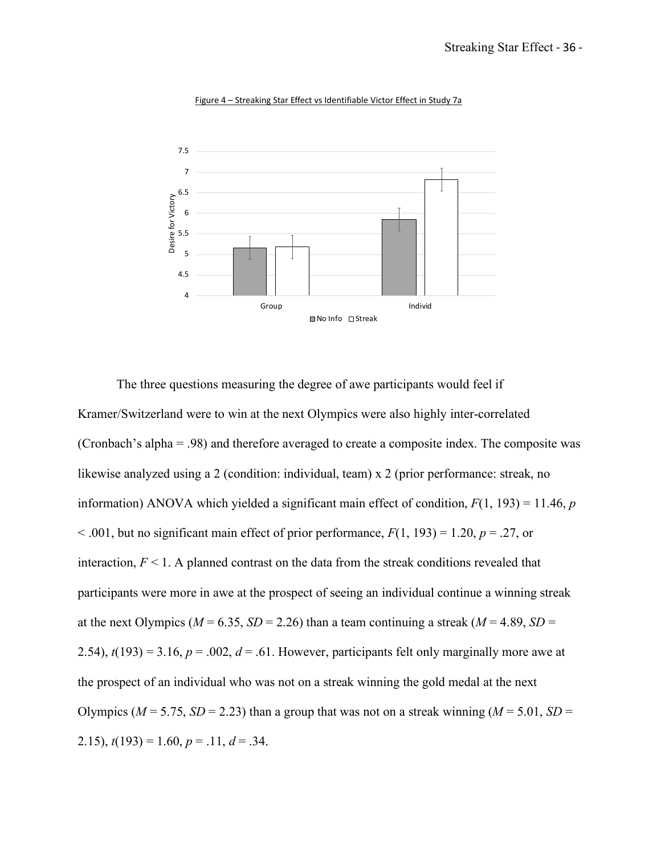

Figure 4 – Streaking Star Effect vs Identifiable Victor Effect in Study 7a

The three questions measuring the degree of awe participants would feel if Kramer/Switzerland were to win at the next Olympics were also highly inter-correlated (Cronbach's alpha = .98) and therefore averaged to create a composite index. The composite was likewise analyzed using a 2 (condition: individual, team) x 2 (prior performance: streak, no information) ANOVA which yielded a significant main effect of condition, *F*(1, 193) = 11.46, *p*  $\leq$  0.01, but no significant main effect of prior performance,  $F(1, 193) = 1.20$ ,  $p = 0.27$ , or interaction,  $F \leq 1$ . A planned contrast on the data from the streak conditions revealed that participants were more in awe at the prospect of seeing an individual continue a winning streak at the next Olympics ( $M = 6.35$ ,  $SD = 2.26$ ) than a team continuing a streak ( $M = 4.89$ ,  $SD =$ 2.54),  $t(193) = 3.16$ ,  $p = .002$ ,  $d = .61$ . However, participants felt only marginally more awe at the prospect of an individual who was not on a streak winning the gold medal at the next Olympics ( $M = 5.75$ ,  $SD = 2.23$ ) than a group that was not on a streak winning ( $M = 5.01$ ,  $SD =$ 2.15),  $t(193) = 1.60$ ,  $p = .11$ ,  $d = .34$ .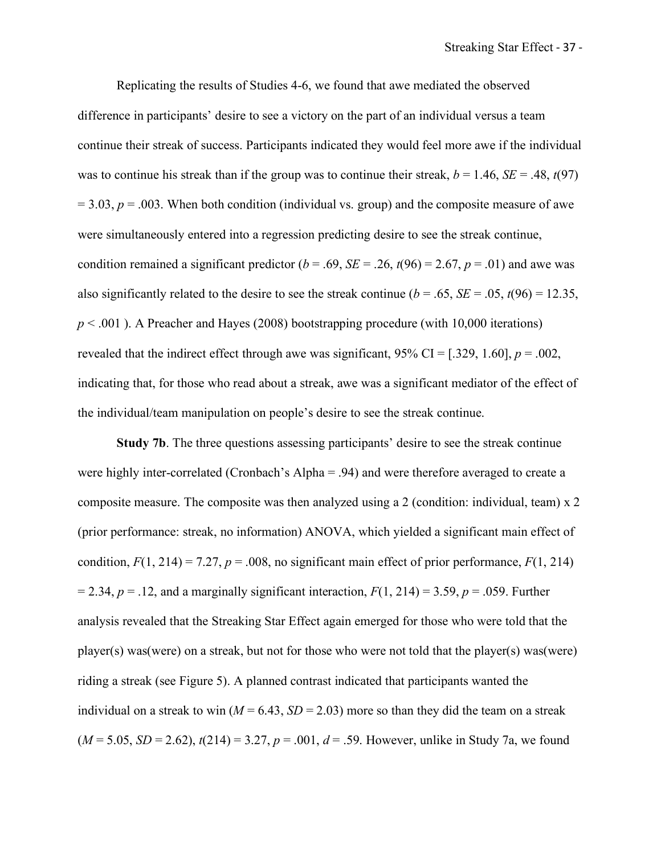Replicating the results of Studies 4-6, we found that awe mediated the observed difference in participants' desire to see a victory on the part of an individual versus a team continue their streak of success. Participants indicated they would feel more awe if the individual was to continue his streak than if the group was to continue their streak,  $b = 1.46$ ,  $SE = .48$ ,  $t(97)$  $= 3.03$ ,  $p = .003$ . When both condition (individual vs. group) and the composite measure of awe were simultaneously entered into a regression predicting desire to see the streak continue, condition remained a significant predictor  $(b = .69, SE = .26, t(96) = 2.67, p = .01)$  and awe was also significantly related to the desire to see the streak continue ( $b = .65$ ,  $SE = .05$ ,  $t(96) = 12.35$ ,  $p < .001$ ). A Preacher and Hayes (2008) bootstrapping procedure (with 10,000 iterations) revealed that the indirect effect through awe was significant,  $95\%$  CI = [.329, 1.60],  $p = .002$ , indicating that, for those who read about a streak, awe was a significant mediator of the effect of the individual/team manipulation on people's desire to see the streak continue.

**Study 7b**. The three questions assessing participants' desire to see the streak continue were highly inter-correlated (Cronbach's Alpha = .94) and were therefore averaged to create a composite measure. The composite was then analyzed using a 2 (condition: individual, team) x 2 (prior performance: streak, no information) ANOVA, which yielded a significant main effect of condition,  $F(1, 214) = 7.27$ ,  $p = .008$ , no significant main effect of prior performance,  $F(1, 214)$  $= 2.34$ ,  $p = .12$ , and a marginally significant interaction,  $F(1, 214) = 3.59$ ,  $p = .059$ . Further analysis revealed that the Streaking Star Effect again emerged for those who were told that the player(s) was(were) on a streak, but not for those who were not told that the player(s) was(were) riding a streak (see Figure 5). A planned contrast indicated that participants wanted the individual on a streak to win  $(M = 6.43, SD = 2.03)$  more so than they did the team on a streak  $(M = 5.05, SD = 2.62)$ ,  $t(214) = 3.27, p = .001, d = .59$ . However, unlike in Study 7a, we found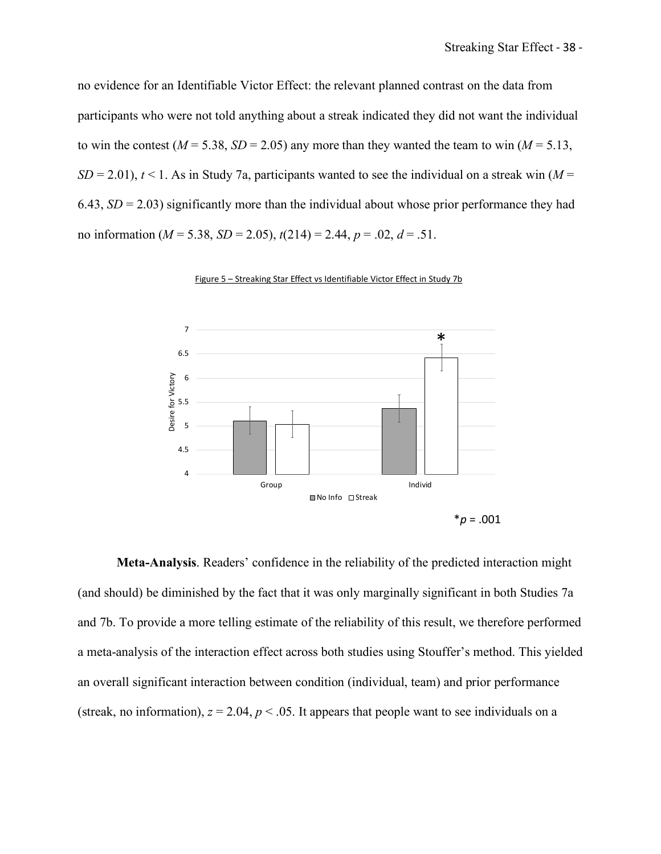no evidence for an Identifiable Victor Effect: the relevant planned contrast on the data from participants who were not told anything about a streak indicated they did not want the individual to win the contest ( $M = 5.38$ ,  $SD = 2.05$ ) any more than they wanted the team to win ( $M = 5.13$ ,  $SD = 2.01$ ),  $t \le 1$ . As in Study 7a, participants wanted to see the individual on a streak win (*M* = 6.43,  $SD = 2.03$ ) significantly more than the individual about whose prior performance they had no information (*M* = 5.38, *SD* = 2.05), *t*(214) = 2.44, *p* = .02, *d* = .51.



Figure 5 – Streaking Star Effect vs Identifiable Victor Effect in Study 7b

**Meta-Analysis**. Readers' confidence in the reliability of the predicted interaction might (and should) be diminished by the fact that it was only marginally significant in both Studies 7a and 7b. To provide a more telling estimate of the reliability of this result, we therefore performed a meta-analysis of the interaction effect across both studies using Stouffer's method. This yielded an overall significant interaction between condition (individual, team) and prior performance (streak, no information),  $z = 2.04$ ,  $p < .05$ . It appears that people want to see individuals on a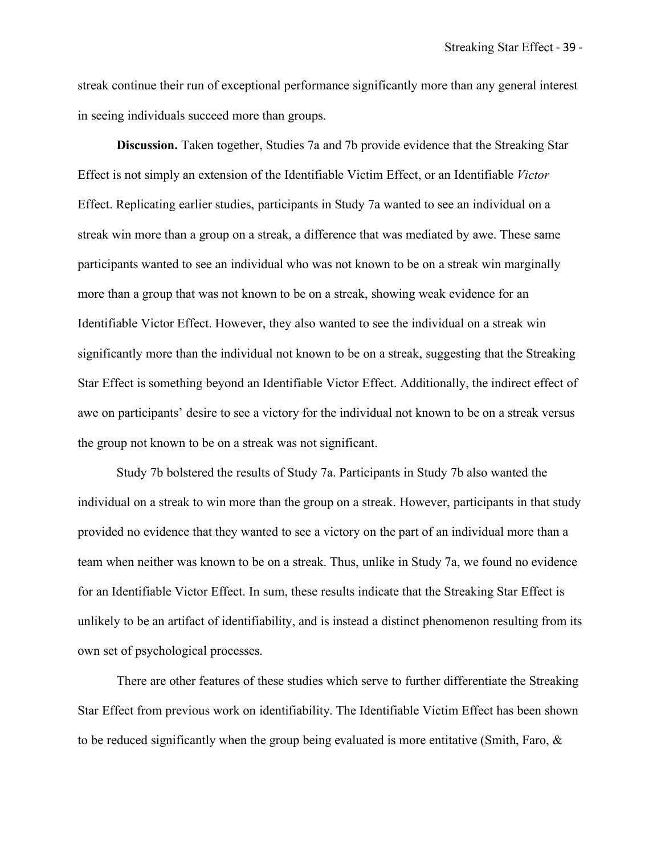streak continue their run of exceptional performance significantly more than any general interest in seeing individuals succeed more than groups.

**Discussion.** Taken together, Studies 7a and 7b provide evidence that the Streaking Star Effect is not simply an extension of the Identifiable Victim Effect, or an Identifiable *Victor*  Effect. Replicating earlier studies, participants in Study 7a wanted to see an individual on a streak win more than a group on a streak, a difference that was mediated by awe. These same participants wanted to see an individual who was not known to be on a streak win marginally more than a group that was not known to be on a streak, showing weak evidence for an Identifiable Victor Effect. However, they also wanted to see the individual on a streak win significantly more than the individual not known to be on a streak, suggesting that the Streaking Star Effect is something beyond an Identifiable Victor Effect. Additionally, the indirect effect of awe on participants' desire to see a victory for the individual not known to be on a streak versus the group not known to be on a streak was not significant.

Study 7b bolstered the results of Study 7a. Participants in Study 7b also wanted the individual on a streak to win more than the group on a streak. However, participants in that study provided no evidence that they wanted to see a victory on the part of an individual more than a team when neither was known to be on a streak. Thus, unlike in Study 7a, we found no evidence for an Identifiable Victor Effect. In sum, these results indicate that the Streaking Star Effect is unlikely to be an artifact of identifiability, and is instead a distinct phenomenon resulting from its own set of psychological processes.

There are other features of these studies which serve to further differentiate the Streaking Star Effect from previous work on identifiability. The Identifiable Victim Effect has been shown to be reduced significantly when the group being evaluated is more entitative (Smith, Faro, &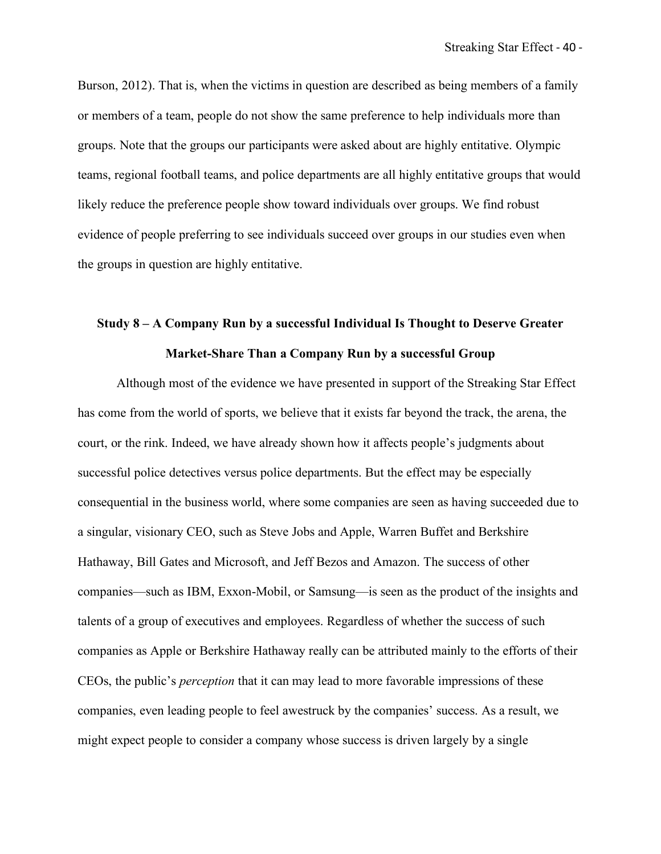Burson, 2012). That is, when the victims in question are described as being members of a family or members of a team, people do not show the same preference to help individuals more than groups. Note that the groups our participants were asked about are highly entitative. Olympic teams, regional football teams, and police departments are all highly entitative groups that would likely reduce the preference people show toward individuals over groups. We find robust evidence of people preferring to see individuals succeed over groups in our studies even when the groups in question are highly entitative.

# **Study 8 – A Company Run by a successful Individual Is Thought to Deserve Greater Market-Share Than a Company Run by a successful Group**

Although most of the evidence we have presented in support of the Streaking Star Effect has come from the world of sports, we believe that it exists far beyond the track, the arena, the court, or the rink. Indeed, we have already shown how it affects people's judgments about successful police detectives versus police departments. But the effect may be especially consequential in the business world, where some companies are seen as having succeeded due to a singular, visionary CEO, such as Steve Jobs and Apple, Warren Buffet and Berkshire Hathaway, Bill Gates and Microsoft, and Jeff Bezos and Amazon. The success of other companies—such as IBM, Exxon-Mobil, or Samsung—is seen as the product of the insights and talents of a group of executives and employees. Regardless of whether the success of such companies as Apple or Berkshire Hathaway really can be attributed mainly to the efforts of their CEOs, the public's *perception* that it can may lead to more favorable impressions of these companies, even leading people to feel awestruck by the companies' success. As a result, we might expect people to consider a company whose success is driven largely by a single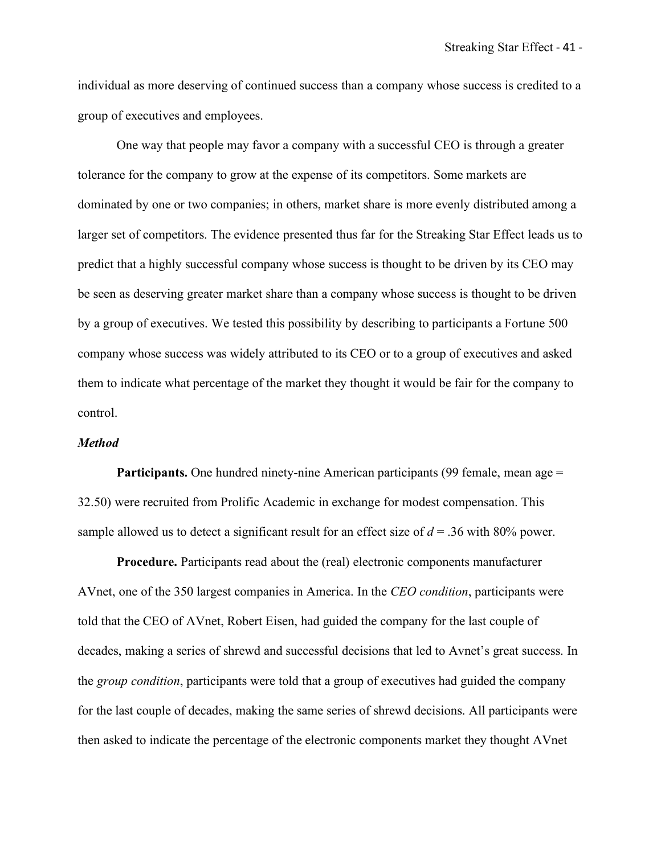individual as more deserving of continued success than a company whose success is credited to a group of executives and employees.

One way that people may favor a company with a successful CEO is through a greater tolerance for the company to grow at the expense of its competitors. Some markets are dominated by one or two companies; in others, market share is more evenly distributed among a larger set of competitors. The evidence presented thus far for the Streaking Star Effect leads us to predict that a highly successful company whose success is thought to be driven by its CEO may be seen as deserving greater market share than a company whose success is thought to be driven by a group of executives. We tested this possibility by describing to participants a Fortune 500 company whose success was widely attributed to its CEO or to a group of executives and asked them to indicate what percentage of the market they thought it would be fair for the company to control.

#### *Method*

**Participants.** One hundred ninety-nine American participants (99 female, mean age = 32.50) were recruited from Prolific Academic in exchange for modest compensation. This sample allowed us to detect a significant result for an effect size of  $d = 0.36$  with 80% power.

**Procedure.** Participants read about the (real) electronic components manufacturer AVnet, one of the 350 largest companies in America. In the *CEO condition*, participants were told that the CEO of AVnet, Robert Eisen, had guided the company for the last couple of decades, making a series of shrewd and successful decisions that led to Avnet's great success. In the *group condition*, participants were told that a group of executives had guided the company for the last couple of decades, making the same series of shrewd decisions. All participants were then asked to indicate the percentage of the electronic components market they thought AVnet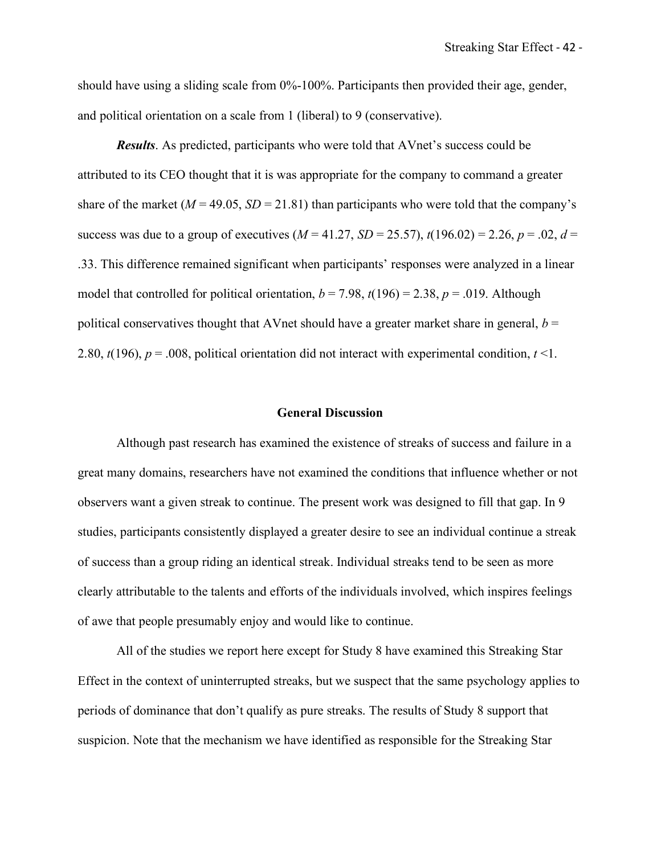should have using a sliding scale from  $0\%$ -100%. Participants then provided their age, gender, and political orientation on a scale from 1 (liberal) to 9 (conservative).

*Results*. As predicted, participants who were told that AVnet's success could be attributed to its CEO thought that it is was appropriate for the company to command a greater share of the market ( $M = 49.05$ ,  $SD = 21.81$ ) than participants who were told that the company's success was due to a group of executives  $(M = 41.27, SD = 25.57)$ ,  $t(196.02) = 2.26, p = .02, d =$ .33. This difference remained significant when participants' responses were analyzed in a linear model that controlled for political orientation,  $b = 7.98$ ,  $t(196) = 2.38$ ,  $p = .019$ . Although political conservatives thought that AVnet should have a greater market share in general,  $b =$ 2.80, *t*(196), *p* = .008, political orientation did not interact with experimental condition, *t* <1.

#### **General Discussion**

Although past research has examined the existence of streaks of success and failure in a great many domains, researchers have not examined the conditions that influence whether or not observers want a given streak to continue. The present work was designed to fill that gap. In 9 studies, participants consistently displayed a greater desire to see an individual continue a streak of success than a group riding an identical streak. Individual streaks tend to be seen as more clearly attributable to the talents and efforts of the individuals involved, which inspires feelings of awe that people presumably enjoy and would like to continue.

All of the studies we report here except for Study 8 have examined this Streaking Star Effect in the context of uninterrupted streaks, but we suspect that the same psychology applies to periods of dominance that don't qualify as pure streaks. The results of Study 8 support that suspicion. Note that the mechanism we have identified as responsible for the Streaking Star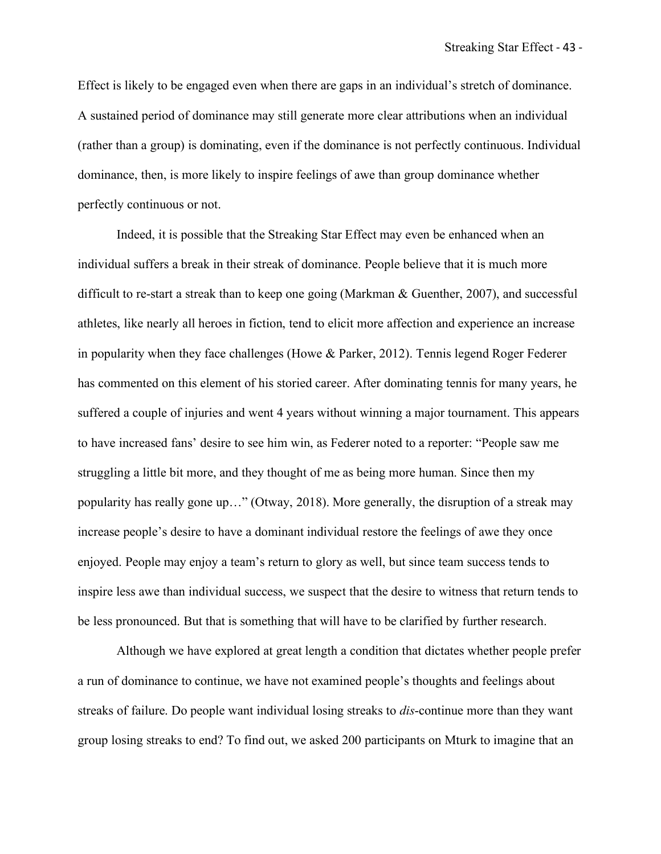Effect is likely to be engaged even when there are gaps in an individual's stretch of dominance. A sustained period of dominance may still generate more clear attributions when an individual (rather than a group) is dominating, even if the dominance is not perfectly continuous. Individual dominance, then, is more likely to inspire feelings of awe than group dominance whether perfectly continuous or not.

Indeed, it is possible that the Streaking Star Effect may even be enhanced when an individual suffers a break in their streak of dominance. People believe that it is much more difficult to re-start a streak than to keep one going (Markman & Guenther, 2007), and successful athletes, like nearly all heroes in fiction, tend to elicit more affection and experience an increase in popularity when they face challenges (Howe & Parker, 2012). Tennis legend Roger Federer has commented on this element of his storied career. After dominating tennis for many years, he suffered a couple of injuries and went 4 years without winning a major tournament. This appears to have increased fans' desire to see him win, as Federer noted to a reporter: "People saw me struggling a little bit more, and they thought of me as being more human. Since then my popularity has really gone up…" (Otway, 2018). More generally, the disruption of a streak may increase people's desire to have a dominant individual restore the feelings of awe they once enjoyed. People may enjoy a team's return to glory as well, but since team success tends to inspire less awe than individual success, we suspect that the desire to witness that return tends to be less pronounced. But that is something that will have to be clarified by further research.

Although we have explored at great length a condition that dictates whether people prefer a run of dominance to continue, we have not examined people's thoughts and feelings about streaks of failure. Do people want individual losing streaks to *dis*-continue more than they want group losing streaks to end? To find out, we asked 200 participants on Mturk to imagine that an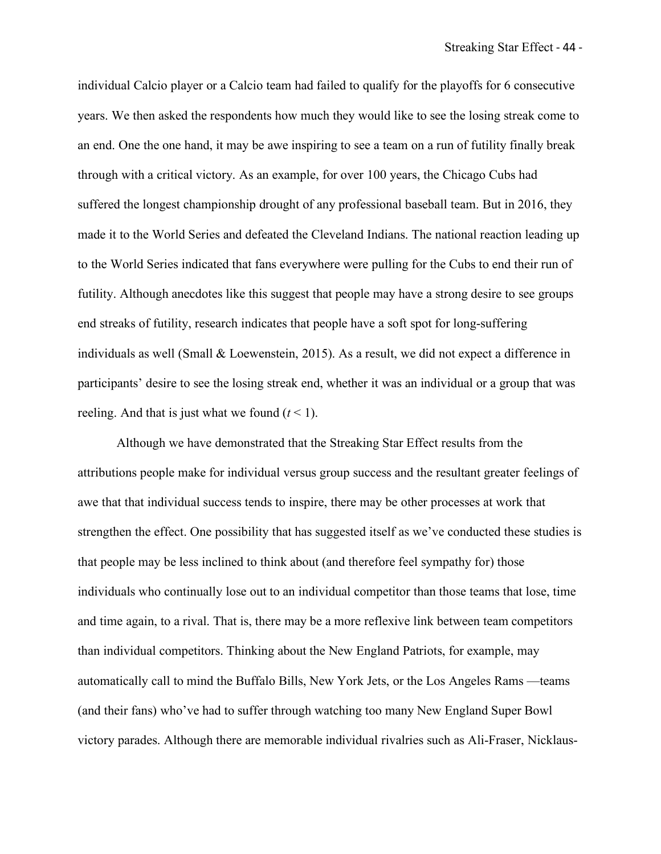individual Calcio player or a Calcio team had failed to qualify for the playoffs for 6 consecutive years. We then asked the respondents how much they would like to see the losing streak come to an end. One the one hand, it may be awe inspiring to see a team on a run of futility finally break through with a critical victory. As an example, for over 100 years, the Chicago Cubs had suffered the longest championship drought of any professional baseball team. But in 2016, they made it to the World Series and defeated the Cleveland Indians. The national reaction leading up to the World Series indicated that fans everywhere were pulling for the Cubs to end their run of futility. Although anecdotes like this suggest that people may have a strong desire to see groups end streaks of futility, research indicates that people have a soft spot for long-suffering individuals as well (Small & Loewenstein, 2015). As a result, we did not expect a difference in participants' desire to see the losing streak end, whether it was an individual or a group that was reeling. And that is just what we found  $(t < 1)$ .

Although we have demonstrated that the Streaking Star Effect results from the attributions people make for individual versus group success and the resultant greater feelings of awe that that individual success tends to inspire, there may be other processes at work that strengthen the effect. One possibility that has suggested itself as we've conducted these studies is that people may be less inclined to think about (and therefore feel sympathy for) those individuals who continually lose out to an individual competitor than those teams that lose, time and time again, to a rival. That is, there may be a more reflexive link between team competitors than individual competitors. Thinking about the New England Patriots, for example, may automatically call to mind the Buffalo Bills, New York Jets, or the Los Angeles Rams —teams (and their fans) who've had to suffer through watching too many New England Super Bowl victory parades. Although there are memorable individual rivalries such as Ali-Fraser, Nicklaus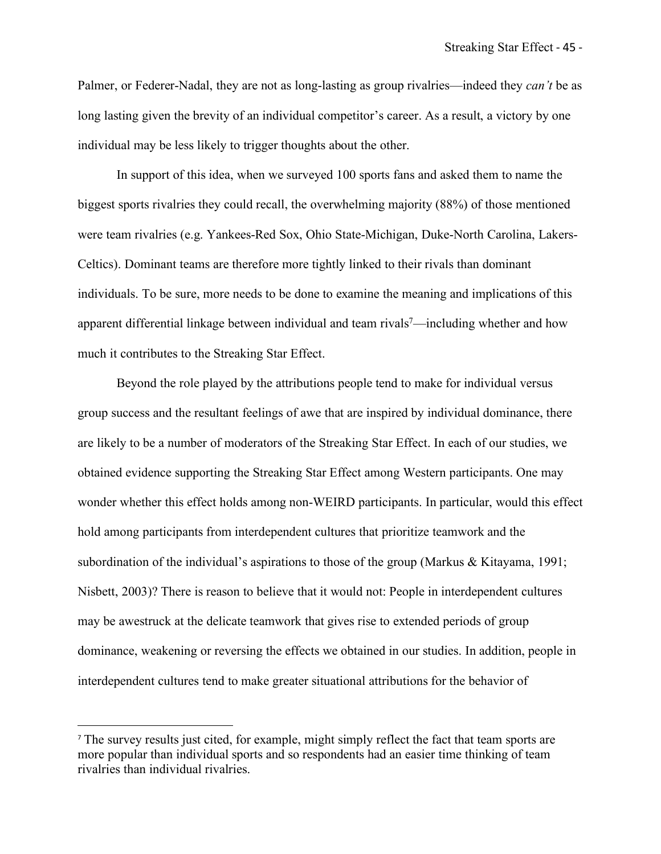Palmer, or Federer-Nadal, they are not as long-lasting as group rivalries—indeed they *can't* be as long lasting given the brevity of an individual competitor's career. As a result, a victory by one individual may be less likely to trigger thoughts about the other.

In support of this idea, when we surveyed 100 sports fans and asked them to name the biggest sports rivalries they could recall, the overwhelming majority (88%) of those mentioned were team rivalries (e.g. Yankees-Red Sox, Ohio State-Michigan, Duke-North Carolina, Lakers-Celtics). Dominant teams are therefore more tightly linked to their rivals than dominant individuals. To be sure, more needs to be done to examine the meaning and implications of this apparent differential linkage between individual and team rivals<sup>7</sup>—including whether and how much it contributes to the Streaking Star Effect.

Beyond the role played by the attributions people tend to make for individual versus group success and the resultant feelings of awe that are inspired by individual dominance, there are likely to be a number of moderators of the Streaking Star Effect. In each of our studies, we obtained evidence supporting the Streaking Star Effect among Western participants. One may wonder whether this effect holds among non-WEIRD participants. In particular, would this effect hold among participants from interdependent cultures that prioritize teamwork and the subordination of the individual's aspirations to those of the group (Markus & Kitayama, 1991; Nisbett, 2003)? There is reason to believe that it would not: People in interdependent cultures may be awestruck at the delicate teamwork that gives rise to extended periods of group dominance, weakening or reversing the effects we obtained in our studies. In addition, people in interdependent cultures tend to make greater situational attributions for the behavior of

 $\overline{a}$ 

<sup>7</sup> The survey results just cited, for example, might simply reflect the fact that team sports are more popular than individual sports and so respondents had an easier time thinking of team rivalries than individual rivalries.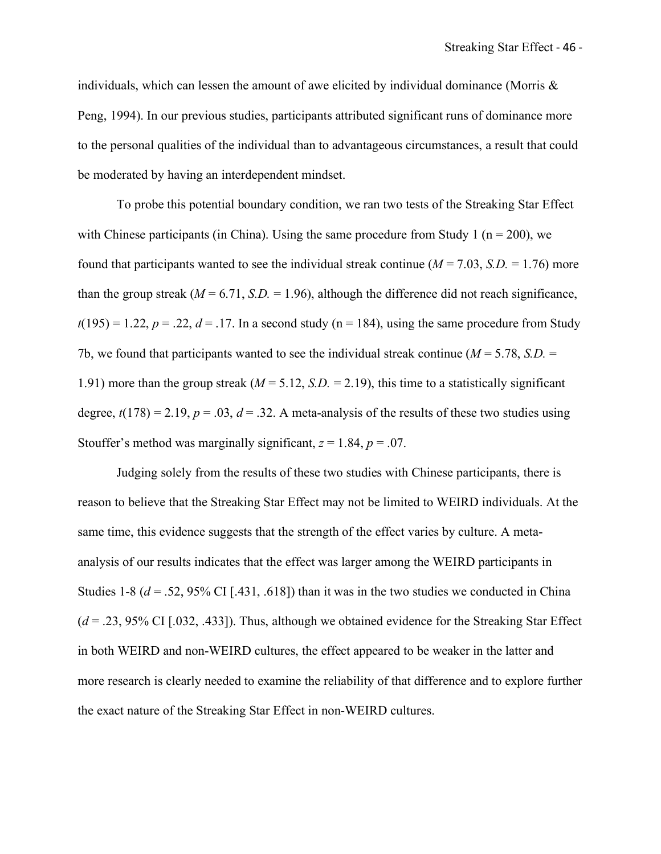individuals, which can lessen the amount of awe elicited by individual dominance (Morris  $\&$ Peng, 1994). In our previous studies, participants attributed significant runs of dominance more to the personal qualities of the individual than to advantageous circumstances, a result that could be moderated by having an interdependent mindset.

To probe this potential boundary condition, we ran two tests of the Streaking Star Effect with Chinese participants (in China). Using the same procedure from Study 1 ( $n = 200$ ), we found that participants wanted to see the individual streak continue  $(M = 7.03, S.D. = 1.76)$  more than the group streak  $(M = 6.71, S.D. = 1.96)$ , although the difference did not reach significance,  $t(195) = 1.22$ ,  $p = .22$ ,  $d = .17$ . In a second study (n = 184), using the same procedure from Study 7b, we found that participants wanted to see the individual streak continue (*M* = 5.78, *S.D.* = 1.91) more than the group streak  $(M = 5.12, S.D. = 2.19)$ , this time to a statistically significant degree,  $t(178) = 2.19$ ,  $p = .03$ ,  $d = .32$ . A meta-analysis of the results of these two studies using Stouffer's method was marginally significant,  $z = 1.84$ ,  $p = .07$ .

Judging solely from the results of these two studies with Chinese participants, there is reason to believe that the Streaking Star Effect may not be limited to WEIRD individuals. At the same time, this evidence suggests that the strength of the effect varies by culture. A metaanalysis of our results indicates that the effect was larger among the WEIRD participants in Studies 1-8 ( $d = 0.52$ , 95% CI [.431, .618]) than it was in the two studies we conducted in China  $(d = .23, 95\% \text{ CI}$  [.032, .433]). Thus, although we obtained evidence for the Streaking Star Effect in both WEIRD and non-WEIRD cultures, the effect appeared to be weaker in the latter and more research is clearly needed to examine the reliability of that difference and to explore further the exact nature of the Streaking Star Effect in non-WEIRD cultures.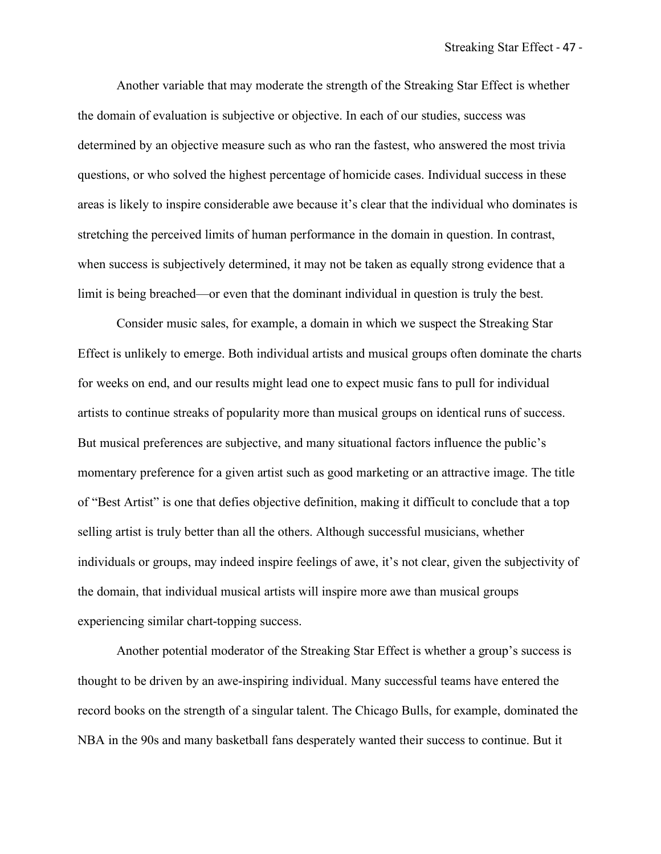Another variable that may moderate the strength of the Streaking Star Effect is whether the domain of evaluation is subjective or objective. In each of our studies, success was determined by an objective measure such as who ran the fastest, who answered the most trivia questions, or who solved the highest percentage of homicide cases. Individual success in these areas is likely to inspire considerable awe because it's clear that the individual who dominates is stretching the perceived limits of human performance in the domain in question. In contrast, when success is subjectively determined, it may not be taken as equally strong evidence that a limit is being breached—or even that the dominant individual in question is truly the best.

Consider music sales, for example, a domain in which we suspect the Streaking Star Effect is unlikely to emerge. Both individual artists and musical groups often dominate the charts for weeks on end, and our results might lead one to expect music fans to pull for individual artists to continue streaks of popularity more than musical groups on identical runs of success. But musical preferences are subjective, and many situational factors influence the public's momentary preference for a given artist such as good marketing or an attractive image. The title of "Best Artist" is one that defies objective definition, making it difficult to conclude that a top selling artist is truly better than all the others. Although successful musicians, whether individuals or groups, may indeed inspire feelings of awe, it's not clear, given the subjectivity of the domain, that individual musical artists will inspire more awe than musical groups experiencing similar chart-topping success.

Another potential moderator of the Streaking Star Effect is whether a group's success is thought to be driven by an awe-inspiring individual. Many successful teams have entered the record books on the strength of a singular talent. The Chicago Bulls, for example, dominated the NBA in the 90s and many basketball fans desperately wanted their success to continue. But it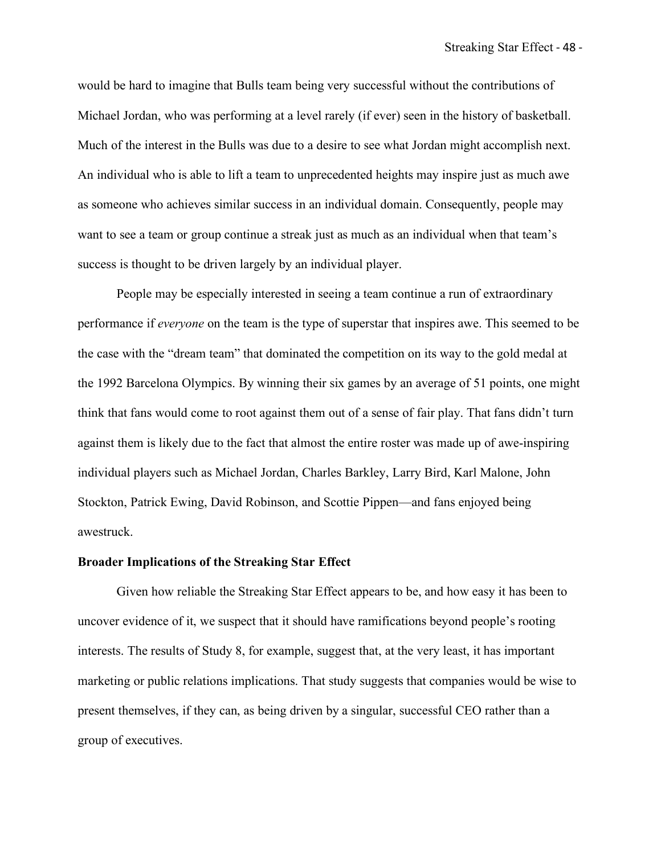would be hard to imagine that Bulls team being very successful without the contributions of Michael Jordan, who was performing at a level rarely (if ever) seen in the history of basketball. Much of the interest in the Bulls was due to a desire to see what Jordan might accomplish next. An individual who is able to lift a team to unprecedented heights may inspire just as much awe as someone who achieves similar success in an individual domain. Consequently, people may want to see a team or group continue a streak just as much as an individual when that team's success is thought to be driven largely by an individual player.

People may be especially interested in seeing a team continue a run of extraordinary performance if *everyone* on the team is the type of superstar that inspires awe. This seemed to be the case with the "dream team" that dominated the competition on its way to the gold medal at the 1992 Barcelona Olympics. By winning their six games by an average of 51 points, one might think that fans would come to root against them out of a sense of fair play. That fans didn't turn against them is likely due to the fact that almost the entire roster was made up of awe-inspiring individual players such as Michael Jordan, Charles Barkley, Larry Bird, Karl Malone, John Stockton, Patrick Ewing, David Robinson, and Scottie Pippen—and fans enjoyed being awestruck.

## **Broader Implications of the Streaking Star Effect**

Given how reliable the Streaking Star Effect appears to be, and how easy it has been to uncover evidence of it, we suspect that it should have ramifications beyond people's rooting interests. The results of Study 8, for example, suggest that, at the very least, it has important marketing or public relations implications. That study suggests that companies would be wise to present themselves, if they can, as being driven by a singular, successful CEO rather than a group of executives.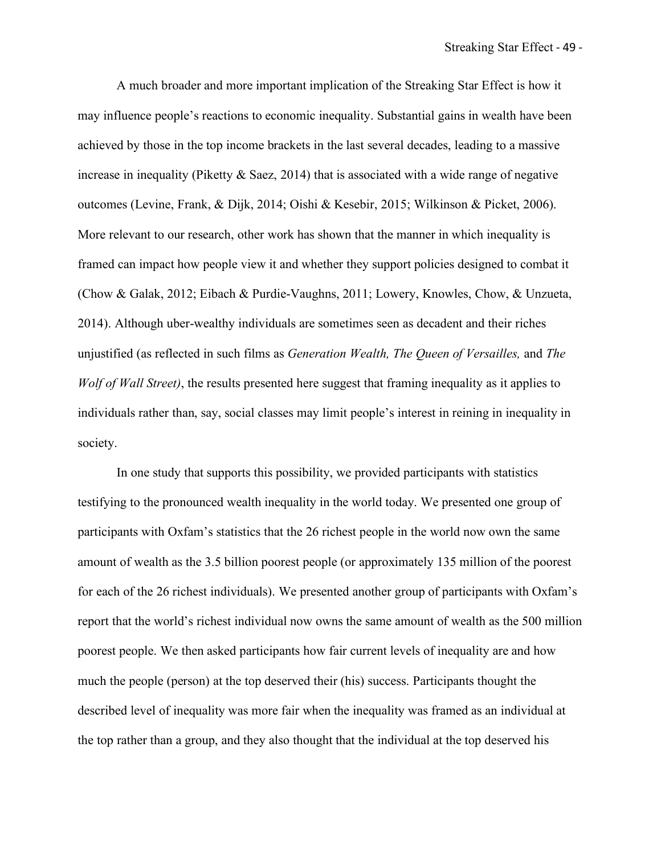A much broader and more important implication of the Streaking Star Effect is how it may influence people's reactions to economic inequality. Substantial gains in wealth have been achieved by those in the top income brackets in the last several decades, leading to a massive increase in inequality (Piketty  $& Saez, 2014$ ) that is associated with a wide range of negative outcomes (Levine, Frank, & Dijk, 2014; Oishi & Kesebir, 2015; Wilkinson & Picket, 2006). More relevant to our research, other work has shown that the manner in which inequality is framed can impact how people view it and whether they support policies designed to combat it (Chow & Galak, 2012; Eibach & Purdie-Vaughns, 2011; Lowery, Knowles, Chow, & Unzueta, 2014). Although uber-wealthy individuals are sometimes seen as decadent and their riches unjustified (as reflected in such films as *Generation Wealth, The Queen of Versailles,* and *The Wolf of Wall Street)*, the results presented here suggest that framing inequality as it applies to individuals rather than, say, social classes may limit people's interest in reining in inequality in society.

In one study that supports this possibility, we provided participants with statistics testifying to the pronounced wealth inequality in the world today. We presented one group of participants with Oxfam's statistics that the 26 richest people in the world now own the same amount of wealth as the 3.5 billion poorest people (or approximately 135 million of the poorest for each of the 26 richest individuals). We presented another group of participants with Oxfam's report that the world's richest individual now owns the same amount of wealth as the 500 million poorest people. We then asked participants how fair current levels of inequality are and how much the people (person) at the top deserved their (his) success. Participants thought the described level of inequality was more fair when the inequality was framed as an individual at the top rather than a group, and they also thought that the individual at the top deserved his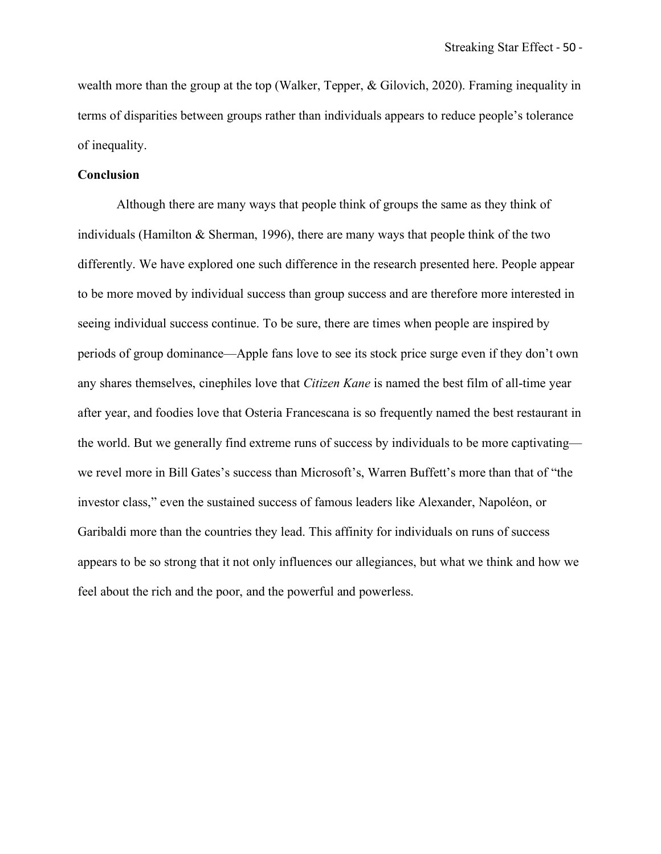wealth more than the group at the top (Walker, Tepper, & Gilovich, 2020). Framing inequality in terms of disparities between groups rather than individuals appears to reduce people's tolerance of inequality.

## **Conclusion**

Although there are many ways that people think of groups the same as they think of individuals (Hamilton  $&$  Sherman, 1996), there are many ways that people think of the two differently. We have explored one such difference in the research presented here. People appear to be more moved by individual success than group success and are therefore more interested in seeing individual success continue. To be sure, there are times when people are inspired by periods of group dominance—Apple fans love to see its stock price surge even if they don't own any shares themselves, cinephiles love that *Citizen Kane* is named the best film of all-time year after year, and foodies love that Osteria Francescana is so frequently named the best restaurant in the world. But we generally find extreme runs of success by individuals to be more captivating we revel more in Bill Gates's success than Microsoft's, Warren Buffett's more than that of "the investor class," even the sustained success of famous leaders like Alexander, Napoléon, or Garibaldi more than the countries they lead. This affinity for individuals on runs of success appears to be so strong that it not only influences our allegiances, but what we think and how we feel about the rich and the poor, and the powerful and powerless.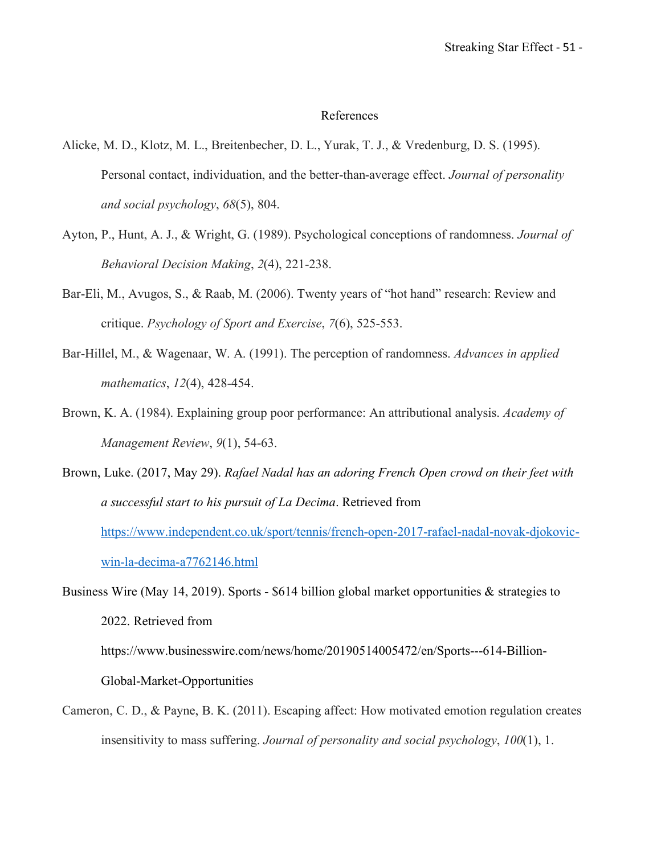# References

- Alicke, M. D., Klotz, M. L., Breitenbecher, D. L., Yurak, T. J., & Vredenburg, D. S. (1995). Personal contact, individuation, and the better-than-average effect. *Journal of personality and social psychology*, *68*(5), 804.
- Ayton, P., Hunt, A. J., & Wright, G. (1989). Psychological conceptions of randomness. *Journal of Behavioral Decision Making*, *2*(4), 221-238.
- Bar-Eli, M., Avugos, S., & Raab, M. (2006). Twenty years of "hot hand" research: Review and critique. *Psychology of Sport and Exercise*, *7*(6), 525-553.
- Bar-Hillel, M., & Wagenaar, W. A. (1991). The perception of randomness. *Advances in applied mathematics*, *12*(4), 428-454.
- Brown, K. A. (1984). Explaining group poor performance: An attributional analysis. *Academy of Management Review*, *9*(1), 54-63.
- Brown, Luke. (2017, May 29). *Rafael Nadal has an adoring French Open crowd on their feet with a successful start to his pursuit of La Decima*. Retrieved from https://www.independent.co.uk/sport/tennis/french-open-2017-rafael-nadal-novak-djokovicwin-la-decima-a7762146.html

Business Wire (May 14, 2019). Sports - \$614 billion global market opportunities & strategies to 2022. Retrieved from https://www.businesswire.com/news/home/20190514005472/en/Sports---614-Billion-Global-Market-Opportunities

Cameron, C. D., & Payne, B. K. (2011). Escaping affect: How motivated emotion regulation creates insensitivity to mass suffering. *Journal of personality and social psychology*, *100*(1), 1.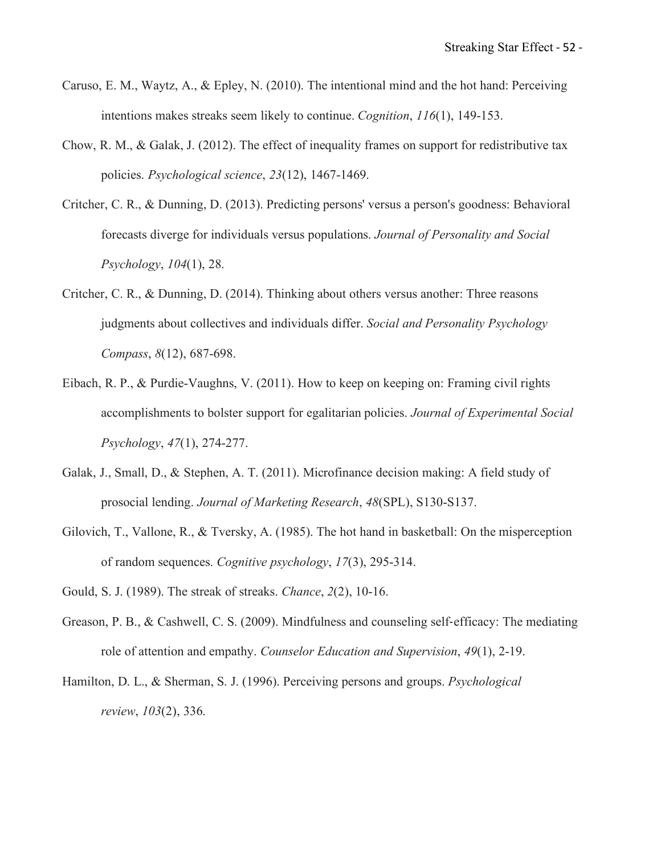- Caruso, E. M., Waytz, A., & Epley, N. (2010). The intentional mind and the hot hand: Perceiving intentions makes streaks seem likely to continue. *Cognition*, *116*(1), 149-153.
- Chow, R. M., & Galak, J. (2012). The effect of inequality frames on support for redistributive tax policies. *Psychological science*, *23*(12), 1467-1469.
- Critcher, C. R., & Dunning, D. (2013). Predicting persons' versus a person's goodness: Behavioral forecasts diverge for individuals versus populations. *Journal of Personality and Social Psychology*, *104*(1), 28.
- Critcher, C. R., & Dunning, D. (2014). Thinking about others versus another: Three reasons judgments about collectives and individuals differ. *Social and Personality Psychology Compass*, *8*(12), 687-698.
- Eibach, R. P., & Purdie-Vaughns, V. (2011). How to keep on keeping on: Framing civil rights accomplishments to bolster support for egalitarian policies. *Journal of Experimental Social Psychology*, *47*(1), 274-277.
- Galak, J., Small, D., & Stephen, A. T. (2011). Microfinance decision making: A field study of prosocial lending. *Journal of Marketing Research*, *48*(SPL), S130-S137.
- Gilovich, T., Vallone, R., & Tversky, A. (1985). The hot hand in basketball: On the misperception of random sequences. *Cognitive psychology*, *17*(3), 295-314.
- Gould, S. J. (1989). The streak of streaks. *Chance*, *2*(2), 10-16.
- Greason, P. B., & Cashwell, C. S. (2009). Mindfulness and counseling self-efficacy: The mediating role of attention and empathy. *Counselor Education and Supervision*, *49*(1), 2-19.
- Hamilton, D. L., & Sherman, S. J. (1996). Perceiving persons and groups. *Psychological review*, *103*(2), 336.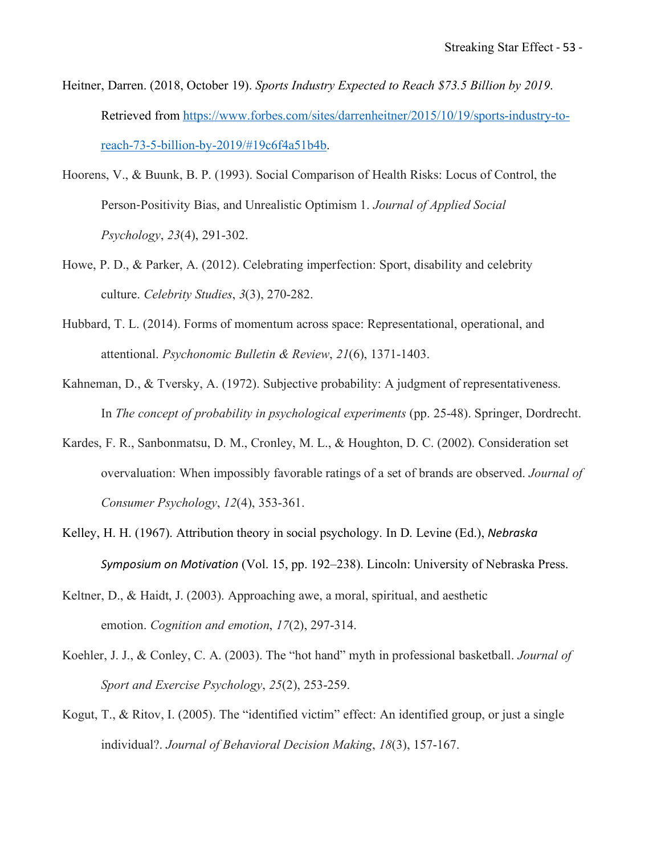- Heitner, Darren. (2018, October 19). *Sports Industry Expected to Reach \$73.5 Billion by 2019*. Retrieved from https://www.forbes.com/sites/darrenheitner/2015/10/19/sports-industry-toreach-73-5-billion-by-2019/#19c6f4a51b4b.
- Hoorens, V., & Buunk, B. P. (1993). Social Comparison of Health Risks: Locus of Control, the Person-Positivity Bias, and Unrealistic Optimism 1. *Journal of Applied Social Psychology*, *23*(4), 291-302.
- Howe, P. D., & Parker, A. (2012). Celebrating imperfection: Sport, disability and celebrity culture. *Celebrity Studies*, *3*(3), 270-282.
- Hubbard, T. L. (2014). Forms of momentum across space: Representational, operational, and attentional. *Psychonomic Bulletin & Review*, *21*(6), 1371-1403.
- Kahneman, D., & Tversky, A. (1972). Subjective probability: A judgment of representativeness. In *The concept of probability in psychological experiments* (pp. 25-48). Springer, Dordrecht.
- Kardes, F. R., Sanbonmatsu, D. M., Cronley, M. L., & Houghton, D. C. (2002). Consideration set overvaluation: When impossibly favorable ratings of a set of brands are observed. *Journal of Consumer Psychology*, *12*(4), 353-361.
- Kelley, H. H. (1967). Attribution theory in social psychology. In D. Levine (Ed.), *Nebraska Symposium on Motivation* (Vol. 15, pp. 192–238). Lincoln: University of Nebraska Press.
- Keltner, D., & Haidt, J. (2003). Approaching awe, a moral, spiritual, and aesthetic emotion. *Cognition and emotion*, *17*(2), 297-314.
- Koehler, J. J., & Conley, C. A. (2003). The "hot hand" myth in professional basketball. *Journal of Sport and Exercise Psychology*, *25*(2), 253-259.
- Kogut, T., & Ritov, I. (2005). The "identified victim" effect: An identified group, or just a single individual?. *Journal of Behavioral Decision Making*, *18*(3), 157-167.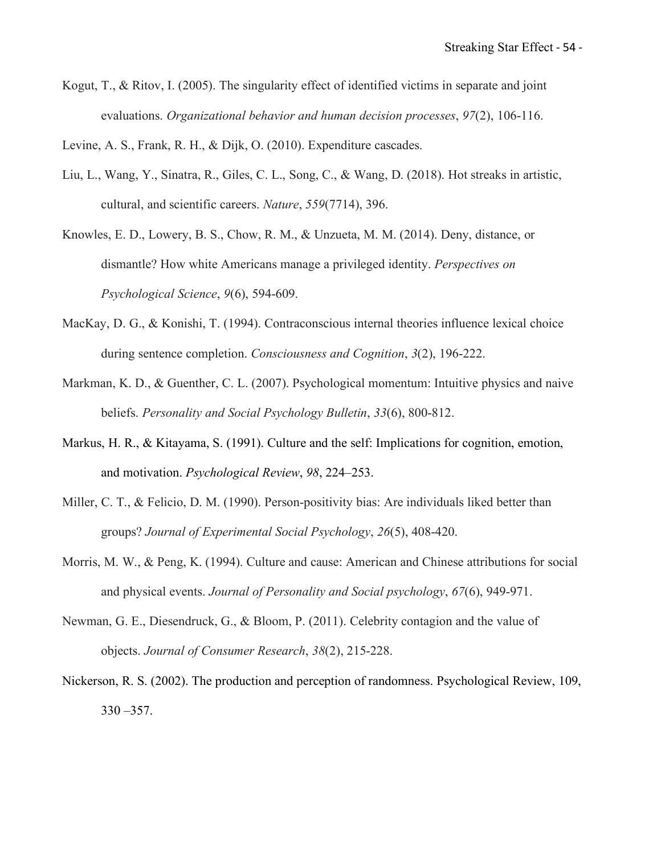Kogut, T., & Ritov, I. (2005). The singularity effect of identified victims in separate and joint evaluations. *Organizational behavior and human decision processes*, *97*(2), 106-116.

Levine, A. S., Frank, R. H., & Dijk, O. (2010). Expenditure cascades.

Liu, L., Wang, Y., Sinatra, R., Giles, C. L., Song, C., & Wang, D. (2018). Hot streaks in artistic, cultural, and scientific careers. *Nature*, *559*(7714), 396.

Knowles, E. D., Lowery, B. S., Chow, R. M., & Unzueta, M. M. (2014). Deny, distance, or dismantle? How white Americans manage a privileged identity. *Perspectives on Psychological Science*, *9*(6), 594-609.

- MacKay, D. G., & Konishi, T. (1994). Contraconscious internal theories influence lexical choice during sentence completion. *Consciousness and Cognition*, *3*(2), 196-222.
- Markman, K. D., & Guenther, C. L. (2007). Psychological momentum: Intuitive physics and naive beliefs. *Personality and Social Psychology Bulletin*, *33*(6), 800-812.
- Markus, H. R., & Kitayama, S. (1991). Culture and the self: Implications for cognition, emotion, and motivation. *Psychological Review*, *98*, 224–253.
- Miller, C. T., & Felicio, D. M. (1990). Person-positivity bias: Are individuals liked better than groups? *Journal of Experimental Social Psychology*, *26*(5), 408-420.
- Morris, M. W., & Peng, K. (1994). Culture and cause: American and Chinese attributions for social and physical events. *Journal of Personality and Social psychology*, *67*(6), 949-971.
- Newman, G. E., Diesendruck, G., & Bloom, P. (2011). Celebrity contagion and the value of objects. *Journal of Consumer Research*, *38*(2), 215-228.

Nickerson, R. S. (2002). The production and perception of randomness. Psychological Review, 109, 330 –357.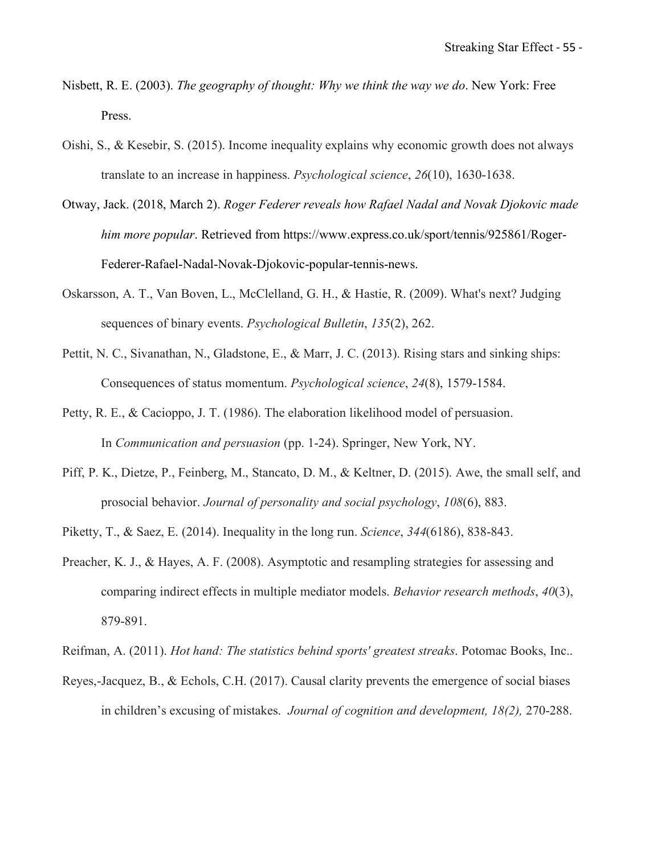- Nisbett, R. E. (2003). *The geography of thought: Why we think the way we do*. New York: Free Press.
- Oishi, S., & Kesebir, S. (2015). Income inequality explains why economic growth does not always translate to an increase in happiness. *Psychological science*, *26*(10), 1630-1638.
- Otway, Jack. (2018, March 2). *Roger Federer reveals how Rafael Nadal and Novak Djokovic made him more popular*. Retrieved from https://www.express.co.uk/sport/tennis/925861/Roger-Federer-Rafael-Nadal-Novak-Djokovic-popular-tennis-news.
- Oskarsson, A. T., Van Boven, L., McClelland, G. H., & Hastie, R. (2009). What's next? Judging sequences of binary events. *Psychological Bulletin*, *135*(2), 262.
- Pettit, N. C., Sivanathan, N., Gladstone, E., & Marr, J. C. (2013). Rising stars and sinking ships: Consequences of status momentum. *Psychological science*, *24*(8), 1579-1584.
- Petty, R. E., & Cacioppo, J. T. (1986). The elaboration likelihood model of persuasion. In *Communication and persuasion* (pp. 1-24). Springer, New York, NY.
- Piff, P. K., Dietze, P., Feinberg, M., Stancato, D. M., & Keltner, D. (2015). Awe, the small self, and prosocial behavior. *Journal of personality and social psychology*, *108*(6), 883.
- Piketty, T., & Saez, E. (2014). Inequality in the long run. *Science*, *344*(6186), 838-843.
- Preacher, K. J., & Hayes, A. F. (2008). Asymptotic and resampling strategies for assessing and comparing indirect effects in multiple mediator models. *Behavior research methods*, *40*(3), 879-891.

Reifman, A. (2011). *Hot hand: The statistics behind sports' greatest streaks*. Potomac Books, Inc..

Reyes,-Jacquez, B., & Echols, C.H. (2017). Causal clarity prevents the emergence of social biases in children's excusing of mistakes. *Journal of cognition and development, 18(2),* 270-288.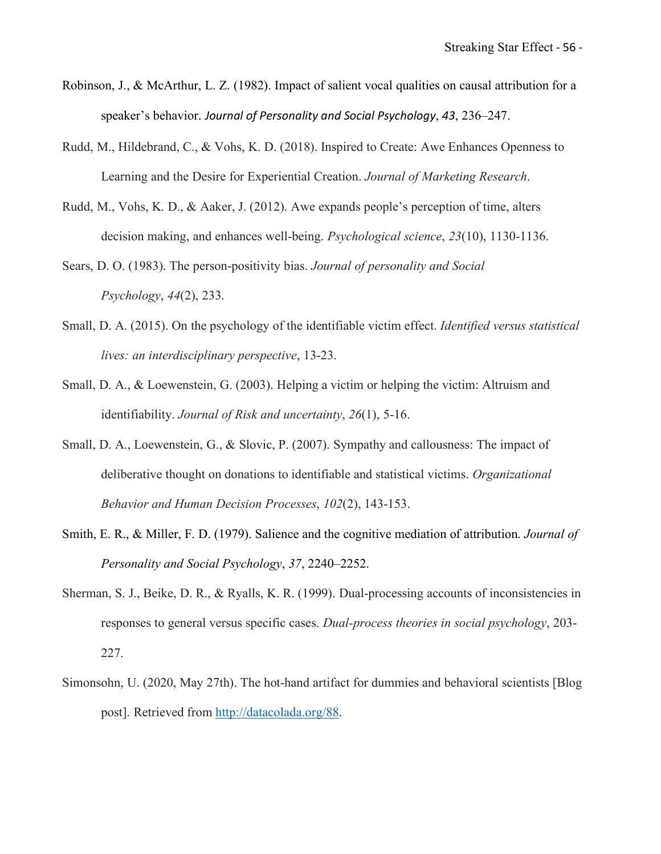- Robinson, J., & McArthur, L. Z. (1982). Impact of salient vocal qualities on causal attribution for a speaker's behavior. *Journal of Personality and Social Psychology*, *43*, 236–247.
- Rudd, M., Hildebrand, C., & Vohs, K. D. (2018). Inspired to Create: Awe Enhances Openness to Learning and the Desire for Experiential Creation. *Journal of Marketing Research*.
- Rudd, M., Vohs, K. D., & Aaker, J. (2012). Awe expands people's perception of time, alters decision making, and enhances well-being. *Psychological science*, *23*(10), 1130-1136.
- Sears, D. O. (1983). The person-positivity bias. *Journal of personality and Social Psychology*, *44*(2), 233.
- Small, D. A. (2015). On the psychology of the identifiable victim effect. *Identified versus statistical lives: an interdisciplinary perspective*, 13-23.
- Small, D. A., & Loewenstein, G. (2003). Helping a victim or helping the victim: Altruism and identifiability. *Journal of Risk and uncertainty*, *26*(1), 5-16.
- Small, D. A., Loewenstein, G., & Slovic, P. (2007). Sympathy and callousness: The impact of deliberative thought on donations to identifiable and statistical victims. *Organizational Behavior and Human Decision Processes*, *102*(2), 143-153.
- Smith, E. R., & Miller, F. D. (1979). Salience and the cognitive mediation of attribution. *Journal of Personality and Social Psychology*, *37*, 2240–2252.
- Sherman, S. J., Beike, D. R., & Ryalls, K. R. (1999). Dual-processing accounts of inconsistencies in responses to general versus specific cases. *Dual-process theories in social psychology*, 203- 227.
- Simonsohn, U. (2020, May 27th). The hot-hand artifact for dummies and behavioral scientists [Blog post]. Retrieved from http://datacolada.org/88.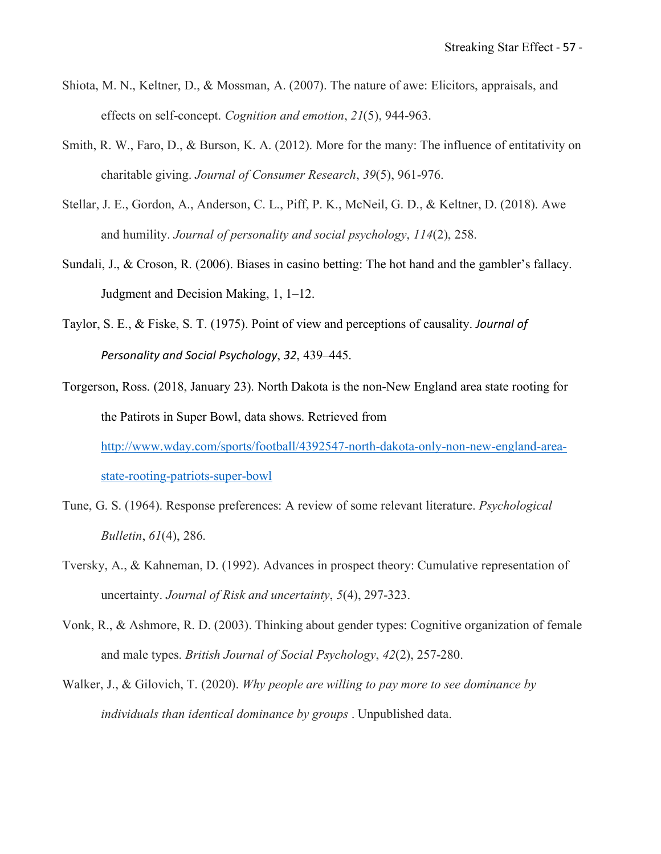- Shiota, M. N., Keltner, D., & Mossman, A. (2007). The nature of awe: Elicitors, appraisals, and effects on self-concept. *Cognition and emotion*, *21*(5), 944-963.
- Smith, R. W., Faro, D., & Burson, K. A. (2012). More for the many: The influence of entitativity on charitable giving. *Journal of Consumer Research*, *39*(5), 961-976.
- Stellar, J. E., Gordon, A., Anderson, C. L., Piff, P. K., McNeil, G. D., & Keltner, D. (2018). Awe and humility. *Journal of personality and social psychology*, *114*(2), 258.
- Sundali, J., & Croson, R. (2006). Biases in casino betting: The hot hand and the gambler's fallacy. Judgment and Decision Making, 1, 1–12.
- Taylor, S. E., & Fiske, S. T. (1975). Point of view and perceptions of causality. *Journal of Personality and Social Psychology*, *32*, 439–445.
- Torgerson, Ross. (2018, January 23). North Dakota is the non-New England area state rooting for the Patirots in Super Bowl, data shows. Retrieved from http://www.wday.com/sports/football/4392547-north-dakota-only-non-new-england-areastate-rooting-patriots-super-bowl
- Tune, G. S. (1964). Response preferences: A review of some relevant literature. *Psychological Bulletin*, *61*(4), 286.
- Tversky, A., & Kahneman, D. (1992). Advances in prospect theory: Cumulative representation of uncertainty. *Journal of Risk and uncertainty*, *5*(4), 297-323.
- Vonk, R., & Ashmore, R. D. (2003). Thinking about gender types: Cognitive organization of female and male types. *British Journal of Social Psychology*, *42*(2), 257-280.
- Walker, J., & Gilovich, T. (2020). *Why people are willing to pay more to see dominance by individuals than identical dominance by groups* . Unpublished data.